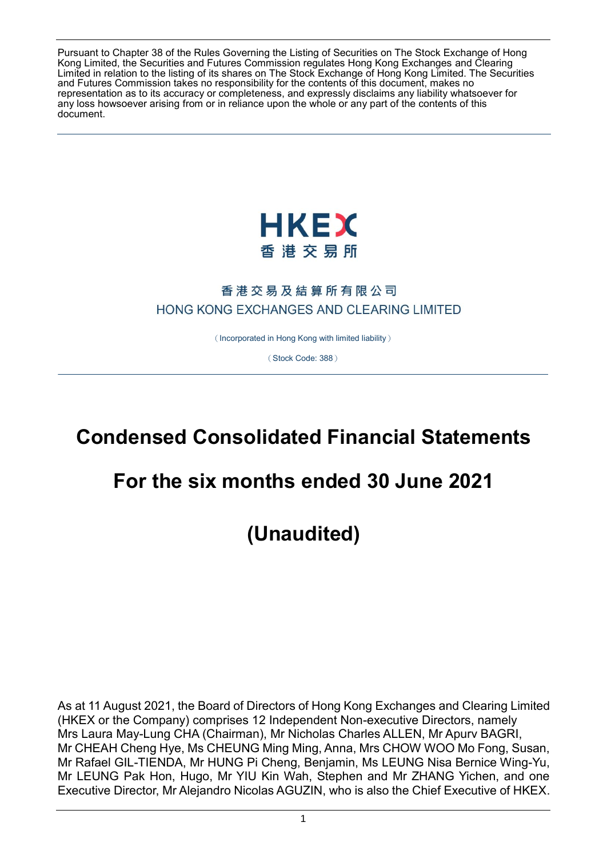Pursuant to Chapter 38 of the Rules Governing the Listing of Securities on The Stock Exchange of Hong Kong Limited, the Securities and Futures Commission regulates Hong Kong Exchanges and Clearing Limited in relation to the listing of its shares on The Stock Exchange of Hong Kong Limited. The Securities and Futures Commission takes no responsibility for the contents of this document, makes no representation as to its accuracy or completeness, and expressly disclaims any liability whatsoever for any loss howsoever arising from or in reliance upon the whole or any part of the contents of this document.



## 香港交易及結算所有限公司 HONG KONG EXCHANGES AND CLEARING LIMITED

(Incorporated in Hong Kong with limited liability)

(Stock Code: 388)

# **Condensed Consolidated Financial Statements**

# **For the six months ended 30 June 2021**

**(Unaudited)**

As at 11 August 2021, the Board of Directors of Hong Kong Exchanges and Clearing Limited (HKEX or the Company) comprises 12 Independent Non-executive Directors, namely Mrs Laura May-Lung CHA (Chairman), Mr Nicholas Charles ALLEN, Mr Apurv BAGRI, Mr CHEAH Cheng Hye, Ms CHEUNG Ming Ming, Anna, Mrs CHOW WOO Mo Fong, Susan, Mr Rafael GIL-TIENDA, Mr HUNG Pi Cheng, Benjamin, Ms LEUNG Nisa Bernice Wing-Yu, Mr LEUNG Pak Hon, Hugo, Mr YIU Kin Wah, Stephen and Mr ZHANG Yichen, and one Executive Director, Mr Alejandro Nicolas AGUZIN, who is also the Chief Executive of HKEX.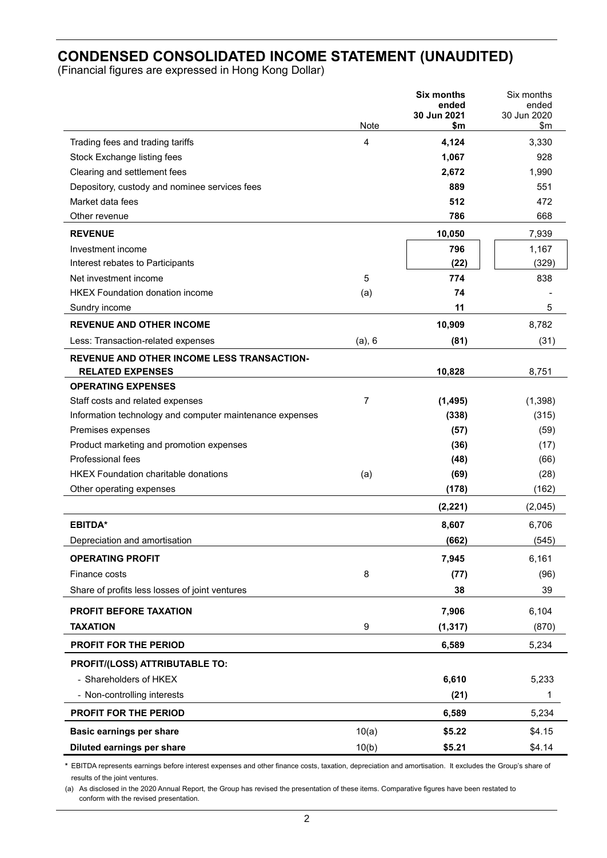## **CONDENSED CONSOLIDATED INCOME STATEMENT (UNAUDITED)**

(Financial figures are expressed in Hong Kong Dollar)

|                                                          |                | <b>Six months</b>    | Six months           |
|----------------------------------------------------------|----------------|----------------------|----------------------|
|                                                          |                | ended<br>30 Jun 2021 | ended<br>30 Jun 2020 |
|                                                          | Note           | \$m                  | \$m                  |
| Trading fees and trading tariffs                         | 4              | 4,124                | 3,330                |
| Stock Exchange listing fees                              |                | 1,067                | 928                  |
| Clearing and settlement fees                             |                | 2,672                | 1,990                |
| Depository, custody and nominee services fees            |                | 889                  | 551                  |
| Market data fees                                         |                | 512                  | 472                  |
| Other revenue                                            |                | 786                  | 668                  |
| <b>REVENUE</b>                                           |                | 10,050               | 7,939                |
| Investment income                                        |                | 796                  | 1,167                |
| Interest rebates to Participants                         |                | (22)                 | (329)                |
| Net investment income                                    | 5              | 774                  | 838                  |
| <b>HKEX Foundation donation income</b>                   | (a)            | 74                   |                      |
| Sundry income                                            |                | 11                   | 5                    |
| <b>REVENUE AND OTHER INCOME</b>                          |                | 10,909               | 8,782                |
| Less: Transaction-related expenses                       | $(a)$ , 6      | (81)                 | (31)                 |
| REVENUE AND OTHER INCOME LESS TRANSACTION-               |                |                      |                      |
| <b>RELATED EXPENSES</b>                                  |                | 10,828               | 8,751                |
| <b>OPERATING EXPENSES</b>                                |                |                      |                      |
| Staff costs and related expenses                         | $\overline{7}$ | (1, 495)             | (1,398)              |
| Information technology and computer maintenance expenses |                | (338)                | (315)                |
| Premises expenses                                        |                | (57)                 | (59)                 |
| Product marketing and promotion expenses                 |                | (36)                 | (17)                 |
| Professional fees                                        |                | (48)                 | (66)                 |
| <b>HKEX Foundation charitable donations</b>              | (a)            | (69)                 | (28)                 |
| Other operating expenses                                 |                | (178)                | (162)                |
|                                                          |                | (2, 221)             | (2,045)              |
| <b>EBITDA*</b>                                           |                | 8,607                | 6,706                |
| Depreciation and amortisation                            |                | (662)                | (545)                |
| <b>OPERATING PROFIT</b>                                  |                | 7,945                | 6,161                |
| Finance costs                                            | 8              | (77)                 | (96)                 |
| Share of profits less losses of joint ventures           |                | 38                   | 39                   |
| <b>PROFIT BEFORE TAXATION</b>                            |                | 7,906                | 6,104                |
| <b>TAXATION</b>                                          | 9              | (1, 317)             | (870)                |
| <b>PROFIT FOR THE PERIOD</b>                             |                | 6,589                | 5,234                |
| PROFIT/(LOSS) ATTRIBUTABLE TO:                           |                |                      |                      |
| - Shareholders of HKEX                                   |                | 6,610                | 5,233                |
| - Non-controlling interests                              |                | (21)                 | 1                    |
| PROFIT FOR THE PERIOD                                    |                | 6,589                | 5,234                |
| Basic earnings per share                                 | 10(a)          | \$5.22               | \$4.15               |
| Diluted earnings per share                               | 10(b)          | \$5.21               | \$4.14               |

**\*** EBITDA represents earnings before interest expenses and other finance costs, taxation, depreciation and amortisation. It excludes the Group's share of results of the joint ventures.

(a) As disclosed in the 2020 Annual Report, the Group has revised the presentation of these items. Comparative figures have been restated to conform with the revised presentation.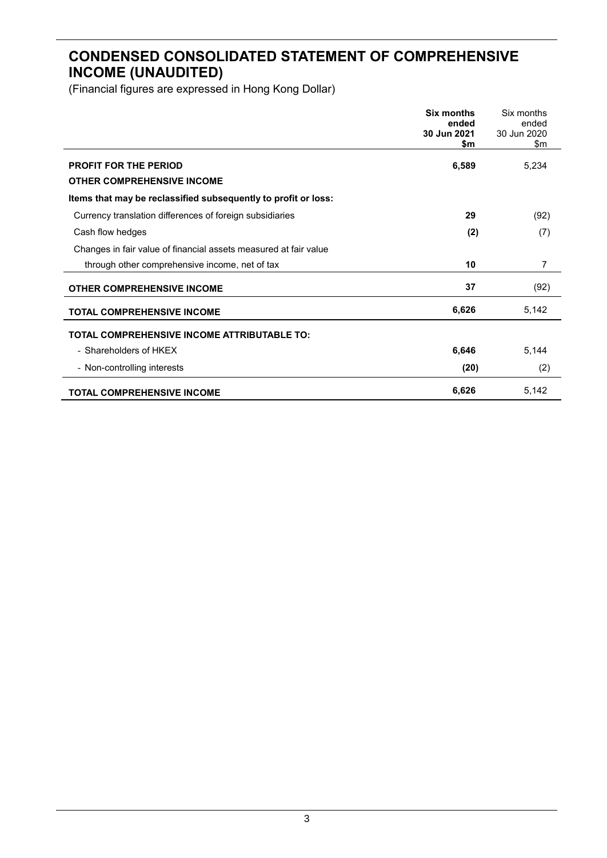## **CONDENSED CONSOLIDATED STATEMENT OF COMPREHENSIVE INCOME (UNAUDITED)**

|                                                                   | Six months<br>ended<br>30 Jun 2021<br>\$m | Six months<br>ended<br>30 Jun 2020<br>\$m |
|-------------------------------------------------------------------|-------------------------------------------|-------------------------------------------|
| <b>PROFIT FOR THE PERIOD</b><br><b>OTHER COMPREHENSIVE INCOME</b> | 6,589                                     | 5,234                                     |
| Items that may be reclassified subsequently to profit or loss:    |                                           |                                           |
| Currency translation differences of foreign subsidiaries          | 29                                        | (92)                                      |
| Cash flow hedges                                                  | (2)                                       | (7)                                       |
| Changes in fair value of financial assets measured at fair value  |                                           |                                           |
| through other comprehensive income, net of tax                    | 10                                        | 7                                         |
| <b>OTHER COMPREHENSIVE INCOME</b>                                 | 37                                        | (92)                                      |
| <b>TOTAL COMPREHENSIVE INCOME</b>                                 | 6,626                                     | 5,142                                     |
| <b>TOTAL COMPREHENSIVE INCOME ATTRIBUTABLE TO:</b>                |                                           |                                           |
| - Shareholders of HKEX                                            | 6,646                                     | 5,144                                     |
| - Non-controlling interests                                       | (20)                                      | (2)                                       |
| <b>TOTAL COMPREHENSIVE INCOME</b>                                 | 6,626                                     | 5,142                                     |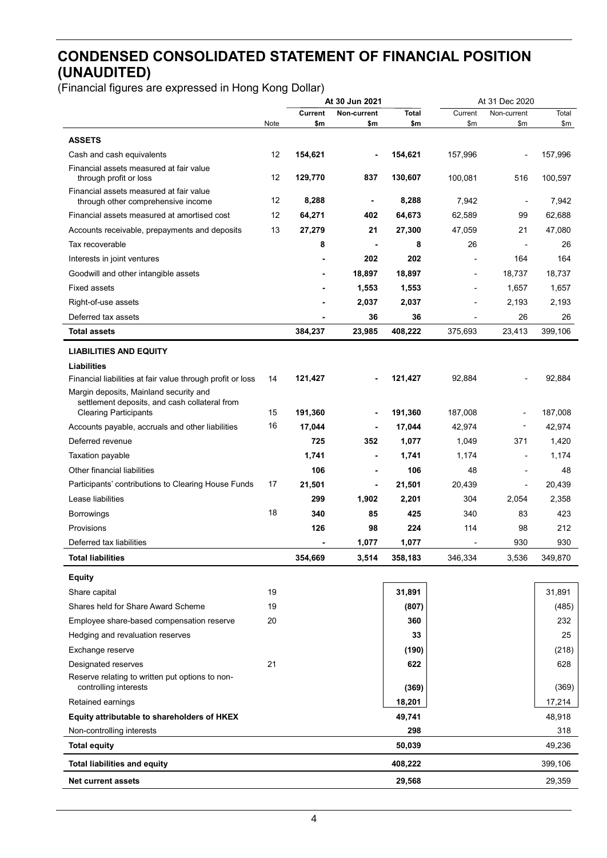## **CONDENSED CONSOLIDATED STATEMENT OF FINANCIAL POSITION (UNAUDITED)**

| Current<br>Non-current<br><b>Total</b><br>Current<br>Non-current<br>\$m<br>\$m\$<br>Note<br>\$m<br>\$m<br>\$m                                                  | Total<br>\$m |
|----------------------------------------------------------------------------------------------------------------------------------------------------------------|--------------|
|                                                                                                                                                                |              |
| <b>ASSETS</b>                                                                                                                                                  |              |
| 12<br>154,621<br>154,621<br>157,996<br>Cash and cash equivalents                                                                                               | 157,996      |
| Financial assets measured at fair value<br>12<br>129,770<br>837<br>130,607<br>100,081<br>516<br>through profit or loss                                         | 100,597      |
| Financial assets measured at fair value<br>12<br>8,288<br>8,288<br>7,942<br>through other comprehensive income<br>٠<br>$\overline{\phantom{a}}$                | 7,942        |
| Financial assets measured at amortised cost<br>12<br>64,271<br>64,673<br>62,589<br>99<br>402                                                                   | 62,688       |
| 13<br>27,279<br>21<br>27,300<br>47,059<br>21<br>Accounts receivable, prepayments and deposits                                                                  | 47,080       |
| 8<br>8<br>26<br>Tax recoverable<br>$\blacksquare$                                                                                                              | 26           |
| 202<br>202<br>164<br>Interests in joint ventures                                                                                                               | 164          |
| 18,897<br>18,897<br>18,737<br>Goodwill and other intangible assets                                                                                             | 18,737       |
| <b>Fixed assets</b><br>1,553<br>1,657<br>1,553                                                                                                                 | 1,657        |
| 2,037<br>Right-of-use assets<br>2,037<br>2,193                                                                                                                 | 2,193        |
| Deferred tax assets<br>36<br>36<br>26                                                                                                                          | 26           |
| 384,237<br>23,985<br>408,222<br>375,693<br>23,413<br>Total assets                                                                                              | 399,106      |
| <b>LIABILITIES AND EQUITY</b>                                                                                                                                  |              |
| <b>Liabilities</b>                                                                                                                                             |              |
| Financial liabilities at fair value through profit or loss<br>121,427<br>121,427<br>92,884<br>14                                                               | 92,884       |
| Margin deposits, Mainland security and<br>settlement deposits, and cash collateral from<br><b>Clearing Participants</b><br>15<br>191,360<br>191,360<br>187,008 | 187,008      |
| 16<br>17,044<br>17,044<br>42,974<br>Accounts payable, accruals and other liabilities                                                                           | 42,974       |
| Deferred revenue<br>725<br>352<br>1,077<br>371<br>1,049                                                                                                        | 1,420        |
| Taxation payable<br>1,741<br>1,741<br>1,174                                                                                                                    | 1,174        |
| Other financial liabilities<br>106<br>106<br>48                                                                                                                | 48           |
| 17<br>Participants' contributions to Clearing House Funds<br>21,501<br>21,501<br>20,439<br>٠<br>$\overline{\phantom{a}}$                                       | 20,439       |
| Lease liabilities<br>299<br>1,902<br>2,201<br>304<br>2,054                                                                                                     | 2,358        |
| 18<br>340<br>85<br>425<br>340<br>83<br><b>Borrowings</b>                                                                                                       | 423          |
| 126<br>224<br>Provisions<br>98<br>114<br>98                                                                                                                    | 212          |
| Deferred tax liabilities<br>1,077<br>1,077<br>930                                                                                                              | 930          |
| <b>Total liabilities</b><br>354,669<br>3,514<br>346,334<br>3,536<br>358,183                                                                                    | 349,870      |
| <b>Equity</b>                                                                                                                                                  |              |
| 31,891<br>19<br>Share capital                                                                                                                                  | 31,891       |
| 19<br>Shares held for Share Award Scheme<br>(807)                                                                                                              | (485)        |
| 20<br>360<br>Employee share-based compensation reserve                                                                                                         | 232          |
| 33<br>Hedging and revaluation reserves                                                                                                                         | 25           |
| Exchange reserve<br>(190)                                                                                                                                      | (218)        |
| 21<br>Designated reserves<br>622                                                                                                                               | 628          |
| Reserve relating to written put options to non-<br>controlling interests<br>(369)                                                                              | (369)        |
| Retained earnings<br>18,201                                                                                                                                    | 17,214       |
| Equity attributable to shareholders of HKEX<br>49,741                                                                                                          | 48,918       |
| 298<br>Non-controlling interests                                                                                                                               | 318          |
| 50,039<br><b>Total equity</b>                                                                                                                                  | 49,236       |
| 408,222<br><b>Total liabilities and equity</b>                                                                                                                 | 399,106      |
| 29,568<br><b>Net current assets</b>                                                                                                                            | 29,359       |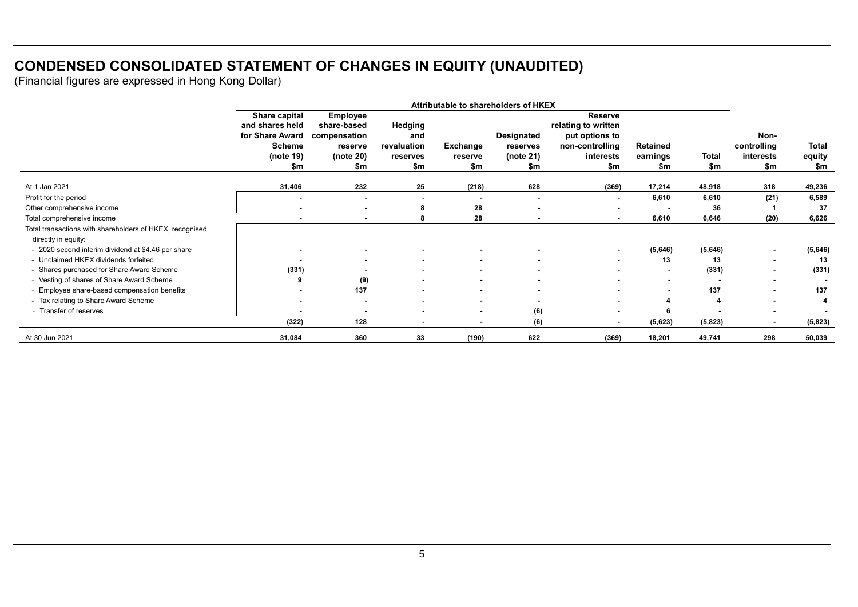## **CONDENSED CONSOLIDATED STATEMENT OF CHANGES IN EQUITY (UNAUDITED)**

|                                                          | Attributable to shareholders of HKEX |                                |                          |                          |                          |                                       |                 |                          |                |              |
|----------------------------------------------------------|--------------------------------------|--------------------------------|--------------------------|--------------------------|--------------------------|---------------------------------------|-----------------|--------------------------|----------------|--------------|
|                                                          | Share capital<br>and shares held     | <b>Employee</b><br>share-based | Hedging                  |                          |                          | <b>Reserve</b><br>relating to written |                 |                          |                |              |
|                                                          | for Share Award                      | compensation                   | and                      |                          | Designated               | put options to                        |                 |                          | Non-           |              |
|                                                          | <b>Scheme</b>                        | reserve                        | revaluation              | Exchange                 | reserves                 | non-controlling                       | <b>Retained</b> |                          | controlling    | <b>Total</b> |
|                                                          | (note 19)                            | (note $20$ )                   | reserves                 | reserve                  | (note 21)                | interests                             | earnings        | Total                    | interests      | equity       |
|                                                          | \$m                                  | \$m                            | \$m                      | \$m                      | \$m                      | \$m                                   | \$m             | \$m                      | \$m            | \$m          |
| At 1 Jan 2021                                            | 31,406                               | 232                            | 25                       | (218)                    | 628                      | (369)                                 | 17,214          | 48,918                   | 318            | 49,236       |
| Profit for the period                                    |                                      |                                | $\overline{\phantom{a}}$ | $\blacksquare$           |                          | $\blacksquare$                        | 6,610           | 6,610                    | (21)           | 6,589        |
| Other comprehensive income                               | . .                                  | $\sim$                         | 8                        | 28                       | $\overline{\phantom{0}}$ | $\blacksquare$                        |                 | 36                       |                | 37           |
| Total comprehensive income                               |                                      |                                | 8                        | 28                       |                          | $\sim$                                | 6,610           | 6,646                    | (20)           | 6,626        |
| Total transactions with shareholders of HKEX, recognised |                                      |                                |                          |                          |                          |                                       |                 |                          |                |              |
| directly in equity:                                      |                                      |                                |                          |                          |                          |                                       |                 |                          |                |              |
| - 2020 second interim dividend at \$4.46 per share       |                                      |                                |                          |                          |                          | ۰.                                    | (5,646)         | (5,646)                  | ٠              | (5,646)      |
| - Unclaimed HKEX dividends forfeited                     |                                      |                                | $\blacksquare$           |                          |                          | $\sim$                                | 13              | 13                       | $\blacksquare$ | 13           |
| - Shares purchased for Share Award Scheme                | (331)                                |                                | $\blacksquare$           | $\blacksquare$           |                          | $\sim$                                |                 | (331)                    | $\blacksquare$ | (331)        |
| - Vesting of shares of Share Award Scheme                |                                      | (9)                            | $\sim$                   | $\sim$                   |                          | $\blacksquare$                        | $\sim$          | $\overline{\phantom{a}}$ | $\blacksquare$ |              |
| - Employee share-based compensation benefits             |                                      | 137                            | $\blacksquare$           | $\blacksquare$           |                          | $\blacksquare$                        |                 | 137                      | $\blacksquare$ | 137          |
| - Tax relating to Share Award Scheme                     |                                      |                                | ٠                        | ٠                        |                          | ٠                                     |                 | 4                        |                |              |
| - Transfer of reserves                                   |                                      |                                | $\blacksquare$           | $\blacksquare$           | (6)                      | $\blacksquare$                        |                 |                          |                |              |
|                                                          | (322)                                | 128                            | $\blacksquare$           | $\overline{\phantom{a}}$ | (6)                      | $\blacksquare$                        | (5,623)         | (5,823)                  | $\blacksquare$ | (5,823)      |
| At 30 Jun 2021                                           | 31,084                               | 360                            | 33                       | (190)                    | 622                      | (369)                                 | 18,201          | 49,741                   | 298            | 50,039       |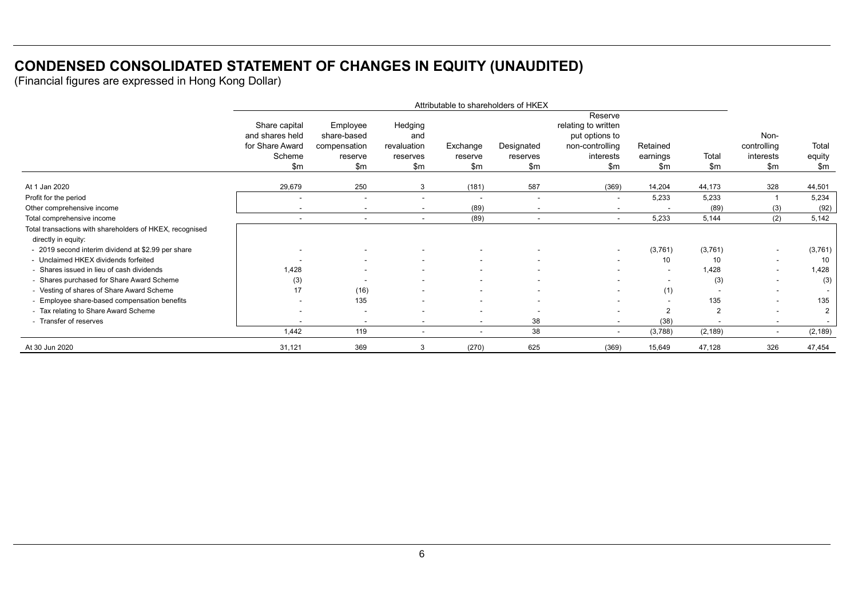## **CONDENSED CONSOLIDATED STATEMENT OF CHANGES IN EQUITY (UNAUDITED)**

|                                                                                 | Attributable to shareholders of HKEX                                   |                                                           |                                                  |                            |                               |                                                                                           |                             |                        |                                         |                                  |
|---------------------------------------------------------------------------------|------------------------------------------------------------------------|-----------------------------------------------------------|--------------------------------------------------|----------------------------|-------------------------------|-------------------------------------------------------------------------------------------|-----------------------------|------------------------|-----------------------------------------|----------------------------------|
|                                                                                 | Share capital<br>and shares held<br>for Share Award<br>Scheme<br>\$m\$ | Employee<br>share-based<br>compensation<br>reserve<br>\$m | Hedging<br>and<br>revaluation<br>reserves<br>\$m | Exchange<br>reserve<br>\$m | Designated<br>reserves<br>\$m | Reserve<br>relating to written<br>put options to<br>non-controlling<br>interests<br>\$m\$ | Retained<br>earnings<br>\$m | Total<br>$\mathsf{Sm}$ | Non-<br>controlling<br>interests<br>\$m | Total<br>equity<br>$\mathsf{Sm}$ |
| At 1 Jan 2020                                                                   | 29,679                                                                 | 250                                                       | 3                                                | (181)                      | 587                           | (369)                                                                                     | 14,204                      | 44,173                 | 328                                     | 44,501                           |
| Profit for the period                                                           | ٠                                                                      | $\blacksquare$                                            |                                                  | $\overline{\phantom{a}}$   |                               | $\overline{\phantom{a}}$                                                                  | 5,233                       | 5,233                  |                                         | 5,234                            |
| Other comprehensive income                                                      |                                                                        | $\overline{\phantom{a}}$                                  |                                                  | (89)                       |                               |                                                                                           |                             | (89)                   | (3)                                     | (92)                             |
| Total comprehensive income                                                      | $\overline{\phantom{a}}$                                               | $\overline{\phantom{a}}$                                  |                                                  | (89)                       |                               | $\overline{\phantom{0}}$                                                                  | 5,233                       | 5,144                  | (2)                                     | 5,142                            |
| Total transactions with shareholders of HKEX, recognised<br>directly in equity: |                                                                        |                                                           |                                                  |                            |                               |                                                                                           |                             |                        |                                         |                                  |
| - 2019 second interim dividend at \$2.99 per share                              |                                                                        |                                                           |                                                  |                            |                               | $\overline{\phantom{a}}$                                                                  | (3,761)                     | (3,761)                | $\overline{\phantom{a}}$                | (3,761)                          |
| - Unclaimed HKEX dividends forfeited                                            |                                                                        |                                                           |                                                  | $\overline{\phantom{a}}$   |                               | $\overline{\phantom{a}}$                                                                  | 10                          | 10                     | $\overline{\phantom{a}}$                | 10                               |
| - Shares issued in lieu of cash dividends                                       | 1,428                                                                  |                                                           |                                                  |                            |                               |                                                                                           |                             | 1,428                  |                                         | 1,428                            |
| - Shares purchased for Share Award Scheme                                       | (3)                                                                    |                                                           |                                                  |                            |                               |                                                                                           |                             | (3)                    | $\overline{\phantom{a}}$                | (3)                              |
| - Vesting of shares of Share Award Scheme                                       | 17                                                                     | (16)                                                      |                                                  | $\sim$                     |                               | $\overline{\phantom{a}}$                                                                  | (1)                         |                        | $\overline{\phantom{a}}$                |                                  |
| - Employee share-based compensation benefits                                    |                                                                        | 135                                                       |                                                  |                            |                               |                                                                                           |                             | 135                    | $\overline{\phantom{a}}$                | 135                              |
| - Tax relating to Share Award Scheme                                            |                                                                        |                                                           |                                                  |                            |                               |                                                                                           | 2                           | $\overline{2}$         |                                         | $\overline{2}$                   |
| - Transfer of reserves                                                          |                                                                        |                                                           |                                                  | $\overline{\phantom{0}}$   | 38                            |                                                                                           | (38)                        |                        |                                         |                                  |
|                                                                                 | 1,442                                                                  | 119                                                       | $\overline{\phantom{a}}$                         | $\overline{\phantom{a}}$   | 38                            | $\sim$                                                                                    | (3,788)                     | (2, 189)               | $\overline{\phantom{a}}$                | (2, 189)                         |
| At 30 Jun 2020                                                                  | 31,121                                                                 | 369                                                       | 3                                                | (270)                      | 625                           | (369)                                                                                     | 15,649                      | 47,128                 | 326                                     | 47,454                           |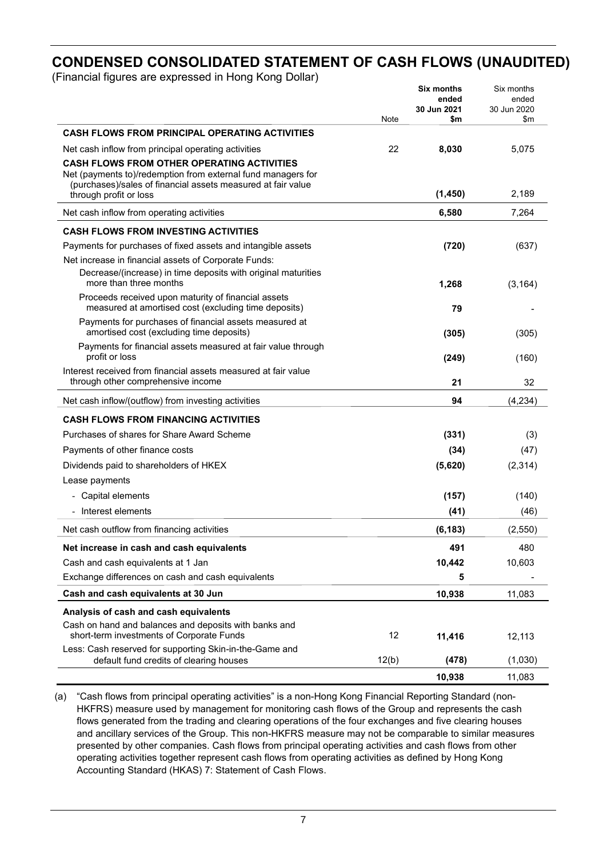## **CONDENSED CONSOLIDATED STATEMENT OF CASH FLOWS (UNAUDITED)**

(Financial figures are expressed in Hong Kong Dollar)

|                                                                                                          |       | <b>Six months</b><br>ended | Six months<br>ended |
|----------------------------------------------------------------------------------------------------------|-------|----------------------------|---------------------|
|                                                                                                          |       | 30 Jun 2021                | 30 Jun 2020         |
| <b>CASH FLOWS FROM PRINCIPAL OPERATING ACTIVITIES</b>                                                    | Note  | \$m                        | \$m                 |
|                                                                                                          | 22    |                            |                     |
| Net cash inflow from principal operating activities<br><b>CASH FLOWS FROM OTHER OPERATING ACTIVITIES</b> |       | 8,030                      | 5,075               |
| Net (payments to)/redemption from external fund managers for                                             |       |                            |                     |
| (purchases)/sales of financial assets measured at fair value                                             |       | (1, 450)                   | 2,189               |
| through profit or loss                                                                                   |       |                            |                     |
| Net cash inflow from operating activities                                                                |       | 6,580                      | 7,264               |
| <b>CASH FLOWS FROM INVESTING ACTIVITIES</b>                                                              |       |                            |                     |
| Payments for purchases of fixed assets and intangible assets                                             |       | (720)                      | (637)               |
| Net increase in financial assets of Corporate Funds:                                                     |       |                            |                     |
| Decrease/(increase) in time deposits with original maturities<br>more than three months                  |       | 1,268                      | (3, 164)            |
| Proceeds received upon maturity of financial assets                                                      |       |                            |                     |
| measured at amortised cost (excluding time deposits)                                                     |       | 79                         |                     |
| Payments for purchases of financial assets measured at<br>amortised cost (excluding time deposits)       |       | (305)                      | (305)               |
| Payments for financial assets measured at fair value through<br>profit or loss                           |       | (249)                      | (160)               |
| Interest received from financial assets measured at fair value                                           |       |                            |                     |
| through other comprehensive income                                                                       |       | 21                         | 32                  |
| Net cash inflow/(outflow) from investing activities                                                      |       | 94                         | (4, 234)            |
| <b>CASH FLOWS FROM FINANCING ACTIVITIES</b>                                                              |       |                            |                     |
| Purchases of shares for Share Award Scheme                                                               |       | (331)                      | (3)                 |
| Payments of other finance costs                                                                          |       | (34)                       | (47)                |
| Dividends paid to shareholders of HKEX                                                                   |       | (5,620)                    | (2, 314)            |
| Lease payments                                                                                           |       |                            |                     |
| - Capital elements                                                                                       |       | (157)                      | (140)               |
| Interest elements                                                                                        |       | (41)                       | (46)                |
| Net cash outflow from financing activities                                                               |       | (6, 183)                   | (2, 550)            |
| Net increase in cash and cash equivalents                                                                |       | 491                        | 480                 |
| Cash and cash equivalents at 1 Jan                                                                       |       | 10,442                     | 10,603              |
| Exchange differences on cash and cash equivalents                                                        |       | 5                          |                     |
| Cash and cash equivalents at 30 Jun                                                                      |       | 10,938                     | 11,083              |
| Analysis of cash and cash equivalents                                                                    |       |                            |                     |
| Cash on hand and balances and deposits with banks and                                                    |       |                            |                     |
| short-term investments of Corporate Funds                                                                | 12    | 11,416                     | 12,113              |
| Less: Cash reserved for supporting Skin-in-the-Game and<br>default fund credits of clearing houses       | 12(b) | (478)                      | (1,030)             |
|                                                                                                          |       | 10,938                     | 11,083              |

(a) "Cash flows from principal operating activities" is a non-Hong Kong Financial Reporting Standard (non-HKFRS) measure used by management for monitoring cash flows of the Group and represents the cash flows generated from the trading and clearing operations of the four exchanges and five clearing houses and ancillary services of the Group. This non-HKFRS measure may not be comparable to similar measures presented by other companies. Cash flows from principal operating activities and cash flows from other operating activities together represent cash flows from operating activities as defined by Hong Kong Accounting Standard (HKAS) 7: Statement of Cash Flows.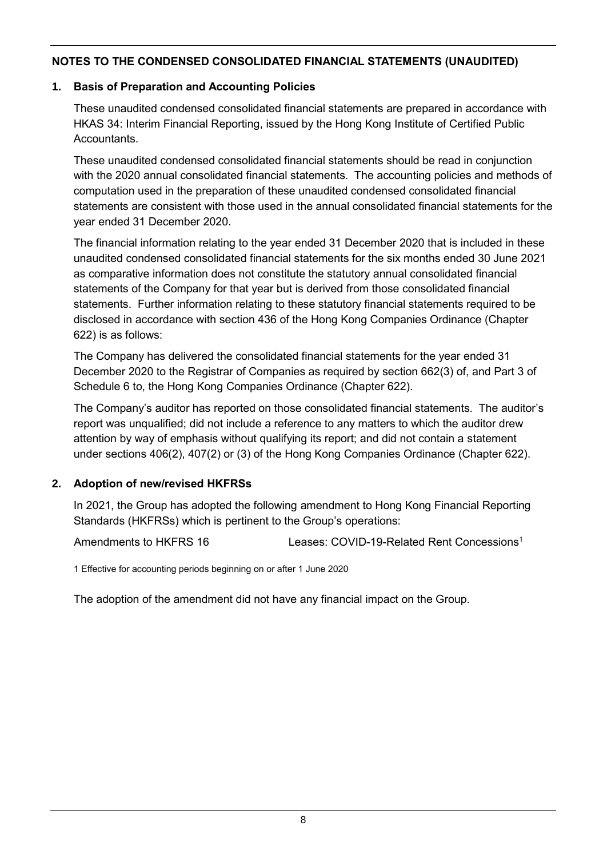## **1. Basis of Preparation and Accounting Policies**

These unaudited condensed consolidated financial statements are prepared in accordance with HKAS 34: Interim Financial Reporting, issued by the Hong Kong Institute of Certified Public Accountants.

These unaudited condensed consolidated financial statements should be read in conjunction with the 2020 annual consolidated financial statements. The accounting policies and methods of computation used in the preparation of these unaudited condensed consolidated financial statements are consistent with those used in the annual consolidated financial statements for the year ended 31 December 2020.

The financial information relating to the year ended 31 December 2020 that is included in these unaudited condensed consolidated financial statements for the six months ended 30 June 2021 as comparative information does not constitute the statutory annual consolidated financial statements of the Company for that year but is derived from those consolidated financial statements. Further information relating to these statutory financial statements required to be disclosed in accordance with section 436 of the Hong Kong Companies Ordinance (Chapter 622) is as follows:

The Company has delivered the consolidated financial statements for the year ended 31 December 2020 to the Registrar of Companies as required by section 662(3) of, and Part 3 of Schedule 6 to, the Hong Kong Companies Ordinance (Chapter 622).

The Company's auditor has reported on those consolidated financial statements. The auditor's report was unqualified; did not include a reference to any matters to which the auditor drew attention by way of emphasis without qualifying its report; and did not contain a statement under sections 406(2), 407(2) or (3) of the Hong Kong Companies Ordinance (Chapter 622).

## **2. Adoption of new/revised HKFRSs**

In 2021, the Group has adopted the following amendment to Hong Kong Financial Reporting Standards (HKFRSs) which is pertinent to the Group's operations:

Amendments to HKFRS 16 Leases: COVID-19-Related Rent Concessions<sup>1</sup>

1 Effective for accounting periods beginning on or after 1 June 2020

The adoption of the amendment did not have any financial impact on the Group.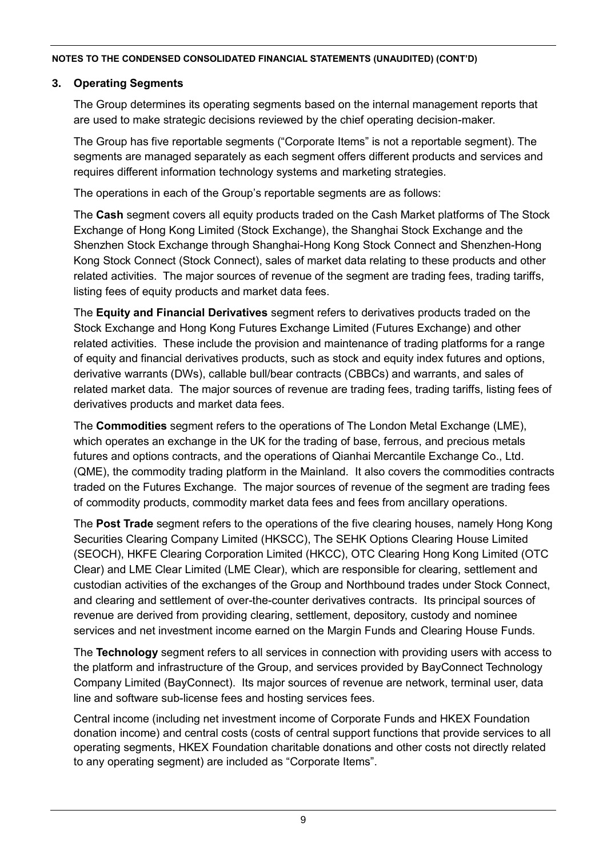## **3. Operating Segments**

The Group determines its operating segments based on the internal management reports that are used to make strategic decisions reviewed by the chief operating decision-maker.

The Group has five reportable segments ("Corporate Items" is not a reportable segment). The segments are managed separately as each segment offers different products and services and requires different information technology systems and marketing strategies.

The operations in each of the Group's reportable segments are as follows:

The **Cash** segment covers all equity products traded on the Cash Market platforms of The Stock Exchange of Hong Kong Limited (Stock Exchange), the Shanghai Stock Exchange and the Shenzhen Stock Exchange through Shanghai-Hong Kong Stock Connect and Shenzhen-Hong Kong Stock Connect (Stock Connect), sales of market data relating to these products and other related activities. The major sources of revenue of the segment are trading fees, trading tariffs, listing fees of equity products and market data fees.

The **Equity and Financial Derivatives** segment refers to derivatives products traded on the Stock Exchange and Hong Kong Futures Exchange Limited (Futures Exchange) and other related activities. These include the provision and maintenance of trading platforms for a range of equity and financial derivatives products, such as stock and equity index futures and options, derivative warrants (DWs), callable bull/bear contracts (CBBCs) and warrants, and sales of related market data. The major sources of revenue are trading fees, trading tariffs, listing fees of derivatives products and market data fees.

The **Commodities** segment refers to the operations of The London Metal Exchange (LME), which operates an exchange in the UK for the trading of base, ferrous, and precious metals futures and options contracts, and the operations of Qianhai Mercantile Exchange Co., Ltd. (QME), the commodity trading platform in the Mainland. It also covers the commodities contracts traded on the Futures Exchange. The major sources of revenue of the segment are trading fees of commodity products, commodity market data fees and fees from ancillary operations.

The **Post Trade** segment refers to the operations of the five clearing houses, namely Hong Kong Securities Clearing Company Limited (HKSCC), The SEHK Options Clearing House Limited (SEOCH), HKFE Clearing Corporation Limited (HKCC), OTC Clearing Hong Kong Limited (OTC Clear) and LME Clear Limited (LME Clear), which are responsible for clearing, settlement and custodian activities of the exchanges of the Group and Northbound trades under Stock Connect, and clearing and settlement of over-the-counter derivatives contracts. Its principal sources of revenue are derived from providing clearing, settlement, depository, custody and nominee services and net investment income earned on the Margin Funds and Clearing House Funds.

The **Technology** segment refers to all services in connection with providing users with access to the platform and infrastructure of the Group, and services provided by BayConnect Technology Company Limited (BayConnect). Its major sources of revenue are network, terminal user, data line and software sub-license fees and hosting services fees.

Central income (including net investment income of Corporate Funds and HKEX Foundation donation income) and central costs (costs of central support functions that provide services to all operating segments, HKEX Foundation charitable donations and other costs not directly related to any operating segment) are included as "Corporate Items".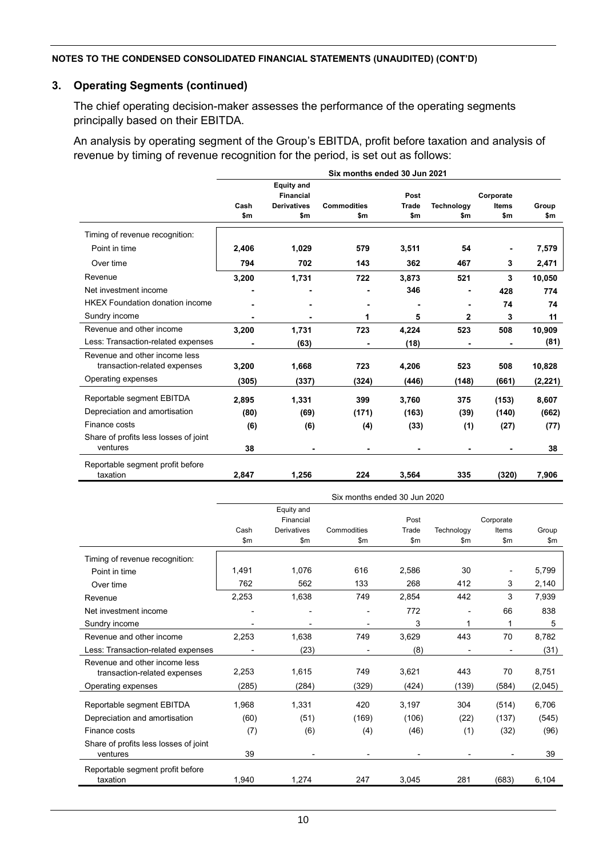## **3. Operating Segments (continued)**

The chief operating decision-maker assesses the performance of the operating segments principally based on their EBITDA.

An analysis by operating segment of the Group's EBITDA, profit before taxation and analysis of revenue by timing of revenue recognition for the period, is set out as follows:

|                                        | Six months ended 30 Jun 2021 |                                       |                    |              |            |              |          |
|----------------------------------------|------------------------------|---------------------------------------|--------------------|--------------|------------|--------------|----------|
|                                        |                              | <b>Equity and</b><br><b>Financial</b> |                    | Post         |            | Corporate    |          |
|                                        | Cash                         | <b>Derivatives</b>                    | <b>Commodities</b> | <b>Trade</b> | Technology | <b>Items</b> | Group    |
|                                        | \$m                          | \$m                                   | \$m                | \$m          | \$m        | \$m          | \$m      |
| Timing of revenue recognition:         |                              |                                       |                    |              |            |              |          |
| Point in time                          | 2,406                        | 1,029                                 | 579                | 3,511        | 54         |              | 7,579    |
| Over time                              | 794                          | 702                                   | 143                | 362          | 467        | 3            | 2,471    |
| Revenue                                | 3,200                        | 1,731                                 | 722                | 3,873        | 521        | 3            | 10,050   |
| Net investment income                  |                              |                                       |                    | 346          |            | 428          | 774      |
| <b>HKEX Foundation donation income</b> |                              |                                       | ٠                  | ٠            |            | 74           | 74       |
| Sundry income                          | ٠                            |                                       | 1                  | 5            | 2          | 3            | 11       |
| Revenue and other income               | 3,200                        | 1,731                                 | 723                | 4,224        | 523        | 508          | 10.909   |
| Less: Transaction-related expenses     |                              | (63)                                  |                    | (18)         |            |              | (81)     |
| Revenue and other income less          |                              |                                       |                    |              |            |              |          |
| transaction-related expenses           | 3,200                        | 1,668                                 | 723                | 4,206        | 523        | 508          | 10,828   |
| Operating expenses                     | (305)                        | (337)                                 | (324)              | (446)        | (148)      | (661)        | (2, 221) |
| Reportable segment EBITDA              | 2,895                        | 1,331                                 | 399                | 3,760        | 375        | (153)        | 8,607    |
| Depreciation and amortisation          | (80)                         | (69)                                  | (171)              | (163)        | (39)       | (140)        | (662)    |
| Finance costs                          | (6)                          | (6)                                   | (4)                | (33)         | (1)        | (27)         | (77)     |
| Share of profits less losses of joint  |                              |                                       |                    |              |            |              |          |
| ventures                               | 38                           |                                       |                    |              |            |              | 38       |
| Reportable segment profit before       |                              |                                       |                    |              |            |              |          |
| taxation                               | 2,847                        | 1,256                                 | 224                | 3,564        | 335        | (320)        | 7,906    |

|                                       | Six months ended 30 Jun 2020 |                    |             |                |                |           |         |
|---------------------------------------|------------------------------|--------------------|-------------|----------------|----------------|-----------|---------|
|                                       |                              | Equity and         |             |                |                |           |         |
|                                       |                              | Financial          |             | Post           |                | Corporate |         |
|                                       | Cash                         | <b>Derivatives</b> | Commodities | Trade          | Technology     | Items     | Group   |
|                                       | \$m                          | \$m                | \$m         | \$m\$          | \$m            | \$m       | \$m\$   |
| Timing of revenue recognition:        |                              |                    |             |                |                |           |         |
| Point in time                         | 1,491                        | 1,076              | 616         | 2,586          | 30             |           | 5,799   |
| Over time                             | 762                          | 562                | 133         | 268            | 412            | 3         | 2,140   |
| Revenue                               | 2,253                        | 1,638              | 749         | 2,854          | 442            | 3         | 7,939   |
| Net investment income                 |                              |                    |             | 772            |                | 66        | 838     |
| Sundry income                         |                              |                    |             | 3              | 1              | 1         | 5       |
| Revenue and other income              | 2,253                        | 1,638              | 749         | 3,629          | 443            | 70        | 8,782   |
| Less: Transaction-related expenses    |                              | (23)               |             | (8)            |                |           | (31)    |
| Revenue and other income less         |                              |                    |             |                |                |           |         |
| transaction-related expenses          | 2,253                        | 1,615              | 749         | 3,621          | 443            | 70        | 8,751   |
| Operating expenses                    | (285)                        | (284)              | (329)       | (424)          | (139)          | (584)     | (2,045) |
| Reportable segment EBITDA             | 1,968                        | 1,331              | 420         | 3,197          | 304            | (514)     | 6,706   |
| Depreciation and amortisation         | (60)                         | (51)               | (169)       | (106)          | (22)           | (137)     | (545)   |
| Finance costs                         | (7)                          | (6)                | (4)         | (46)           | (1)            | (32)      | (96)    |
| Share of profits less losses of joint |                              |                    |             |                |                |           |         |
| ventures                              | 39                           |                    |             | $\blacksquare$ | $\blacksquare$ |           | 39      |
| Reportable segment profit before      |                              |                    |             |                |                |           |         |
| taxation                              | 1.940                        | 1,274              | 247         | 3,045          | 281            | (683)     | 6,104   |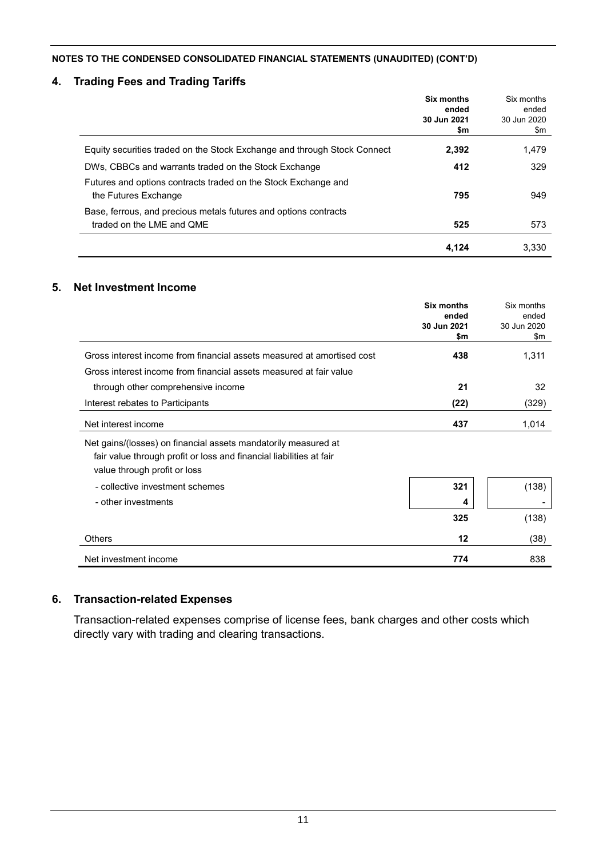## **4. Trading Fees and Trading Tariffs**

|                                                                                               | Six months<br>ended<br>30 Jun 2021<br>\$m | Six months<br>ended<br>30 Jun 2020<br>\$m |
|-----------------------------------------------------------------------------------------------|-------------------------------------------|-------------------------------------------|
| Equity securities traded on the Stock Exchange and through Stock Connect                      | 2,392                                     | 1,479                                     |
| DWs, CBBCs and warrants traded on the Stock Exchange                                          | 412                                       | 329                                       |
| Futures and options contracts traded on the Stock Exchange and<br>the Futures Exchange        | 795                                       | 949                                       |
| Base, ferrous, and precious metals futures and options contracts<br>traded on the LME and QME | 525                                       | 573                                       |
|                                                                                               | 4.124                                     | 3.330                                     |

## **5. Net Investment Income**

|                                                                                                                                                                       | <b>Six months</b><br>ended | Six months<br>ended |
|-----------------------------------------------------------------------------------------------------------------------------------------------------------------------|----------------------------|---------------------|
|                                                                                                                                                                       | 30 Jun 2021                | 30 Jun 2020         |
|                                                                                                                                                                       | \$m                        | \$m                 |
| Gross interest income from financial assets measured at amortised cost                                                                                                | 438                        | 1,311               |
| Gross interest income from financial assets measured at fair value                                                                                                    |                            |                     |
| through other comprehensive income                                                                                                                                    | 21                         | 32                  |
| Interest rebates to Participants                                                                                                                                      | (22)                       | (329)               |
| Net interest income                                                                                                                                                   | 437                        | 1,014               |
| Net gains/(losses) on financial assets mandatorily measured at<br>fair value through profit or loss and financial liabilities at fair<br>value through profit or loss |                            |                     |
| - collective investment schemes                                                                                                                                       | 321                        | (138)               |
| - other investments                                                                                                                                                   | 4                          |                     |
|                                                                                                                                                                       | 325                        | (138)               |
| Others                                                                                                                                                                | 12                         | (38)                |
| Net investment income                                                                                                                                                 | 774                        | 838                 |

## **6. Transaction-related Expenses**

Transaction-related expenses comprise of license fees, bank charges and other costs which directly vary with trading and clearing transactions.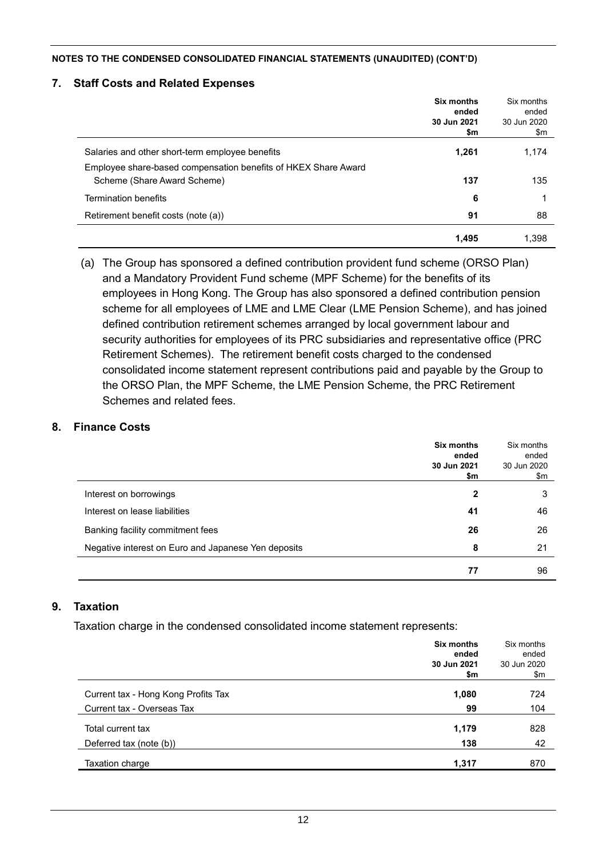#### **7. Staff Costs and Related Expenses**

|                                                                | Six months<br>ended<br>30 Jun 2021<br>\$m | Six months<br>ended<br>30 Jun 2020<br>\$m |
|----------------------------------------------------------------|-------------------------------------------|-------------------------------------------|
| Salaries and other short-term employee benefits                | 1,261                                     | 1,174                                     |
| Employee share-based compensation benefits of HKEX Share Award |                                           |                                           |
| Scheme (Share Award Scheme)                                    | 137                                       | 135                                       |
| <b>Termination benefits</b>                                    | 6                                         |                                           |
| Retirement benefit costs (note (a))                            | 91                                        | 88                                        |
|                                                                | 1,495                                     | 1,398                                     |

(a) The Group has sponsored a defined contribution provident fund scheme (ORSO Plan) and a Mandatory Provident Fund scheme (MPF Scheme) for the benefits of its employees in Hong Kong. The Group has also sponsored a defined contribution pension scheme for all employees of LME and LME Clear (LME Pension Scheme), and has joined defined contribution retirement schemes arranged by local government labour and security authorities for employees of its PRC subsidiaries and representative office (PRC Retirement Schemes). The retirement benefit costs charged to the condensed consolidated income statement represent contributions paid and payable by the Group to the ORSO Plan, the MPF Scheme, the LME Pension Scheme, the PRC Retirement Schemes and related fees.

#### **8. Finance Costs**

|                                                     | Six months<br>ended<br>30 Jun 2021<br>\$m | Six months<br>ended<br>30 Jun 2020<br>\$m |
|-----------------------------------------------------|-------------------------------------------|-------------------------------------------|
| Interest on borrowings                              | 2                                         | 3                                         |
| Interest on lease liabilities                       | 41                                        | 46                                        |
| Banking facility commitment fees                    | 26                                        | 26                                        |
| Negative interest on Euro and Japanese Yen deposits | 8                                         | 21                                        |
|                                                     | 77                                        | 96                                        |

#### **9. Taxation**

Taxation charge in the condensed consolidated income statement represents:

|                                     | Six months<br>ended<br>30 Jun 2021 | Six months<br>ended<br>30 Jun 2020 |
|-------------------------------------|------------------------------------|------------------------------------|
|                                     | \$m                                | \$m                                |
| Current tax - Hong Kong Profits Tax | 1,080                              | 724                                |
| Current tax - Overseas Tax          | 99                                 | 104                                |
| Total current tax                   | 1,179                              | 828                                |
| Deferred tax (note (b))             | 138                                | 42                                 |
| Taxation charge                     | 1,317                              | 870                                |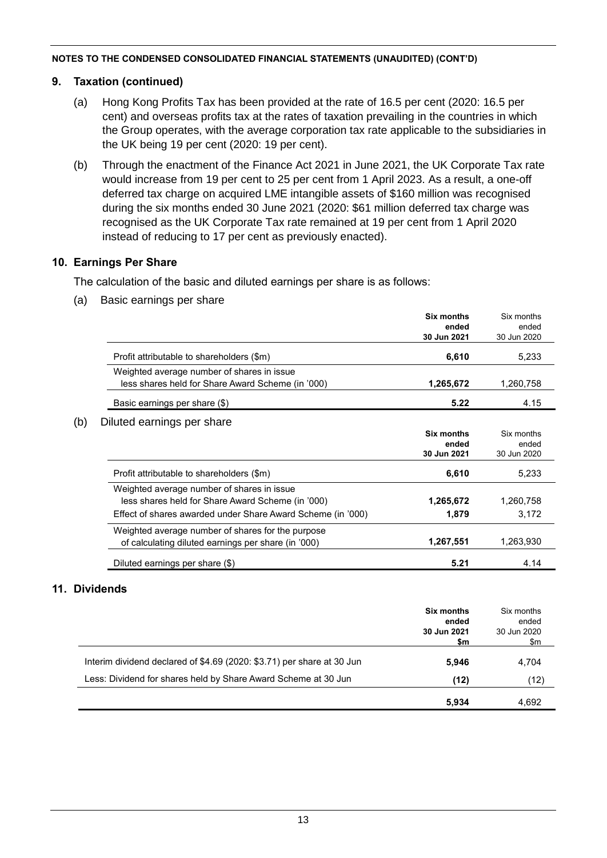### **9. Taxation (continued)**

- (a) Hong Kong Profits Tax has been provided at the rate of 16.5 per cent (2020: 16.5 per cent) and overseas profits tax at the rates of taxation prevailing in the countries in which the Group operates, with the average corporation tax rate applicable to the subsidiaries in the UK being 19 per cent (2020: 19 per cent).
- (b) Through the enactment of the Finance Act 2021 in June 2021, the UK Corporate Tax rate would increase from 19 per cent to 25 per cent from 1 April 2023. As a result, a one-off deferred tax charge on acquired LME intangible assets of \$160 million was recognised during the six months ended 30 June 2021 (2020: \$61 million deferred tax charge was recognised as the UK Corporate Tax rate remained at 19 per cent from 1 April 2020 instead of reducing to 17 per cent as previously enacted).

### **10. Earnings Per Share**

The calculation of the basic and diluted earnings per share is as follows:

(a) Basic earnings per share

|                                                             | <b>Six months</b> | Six months  |
|-------------------------------------------------------------|-------------------|-------------|
|                                                             | ended             | ended       |
|                                                             | 30 Jun 2021       | 30 Jun 2020 |
| Profit attributable to shareholders (\$m)                   | 6,610             | 5,233       |
| Weighted average number of shares in issue                  |                   |             |
| less shares held for Share Award Scheme (in '000)           | 1,265,672         | 1,260,758   |
| Basic earnings per share (\$)                               | 5.22              | 4.15        |
| Diluted earnings per share                                  |                   |             |
|                                                             | Six months        | Six months  |
|                                                             | ended             | ended       |
|                                                             | 30 Jun 2021       | 30 Jun 2020 |
| Profit attributable to shareholders (\$m)                   | 6,610             | 5,233       |
| Weighted average number of shares in issue                  |                   |             |
| less shares held for Share Award Scheme (in '000)           | 1,265,672         | 1,260,758   |
| Effect of shares awarded under Share Award Scheme (in '000) | 1,879             | 3,172       |
| Weighted average number of shares for the purpose           |                   |             |
| of calculating diluted earnings per share (in '000)         | 1,267,551         | 1,263,930   |
| Diluted earnings per share (\$)                             | 5.21              | 4.14        |

## **11. Dividends**

|                                                                        | <b>Six months</b><br>ended<br>30 Jun 2021<br>\$m | Six months<br>ended<br>30 Jun 2020<br>\$m |
|------------------------------------------------------------------------|--------------------------------------------------|-------------------------------------------|
| Interim dividend declared of \$4.69 (2020: \$3.71) per share at 30 Jun | 5.946                                            | 4.704                                     |
| Less: Dividend for shares held by Share Award Scheme at 30 Jun         | (12)                                             | (12)                                      |
|                                                                        | 5.934                                            | 4,692                                     |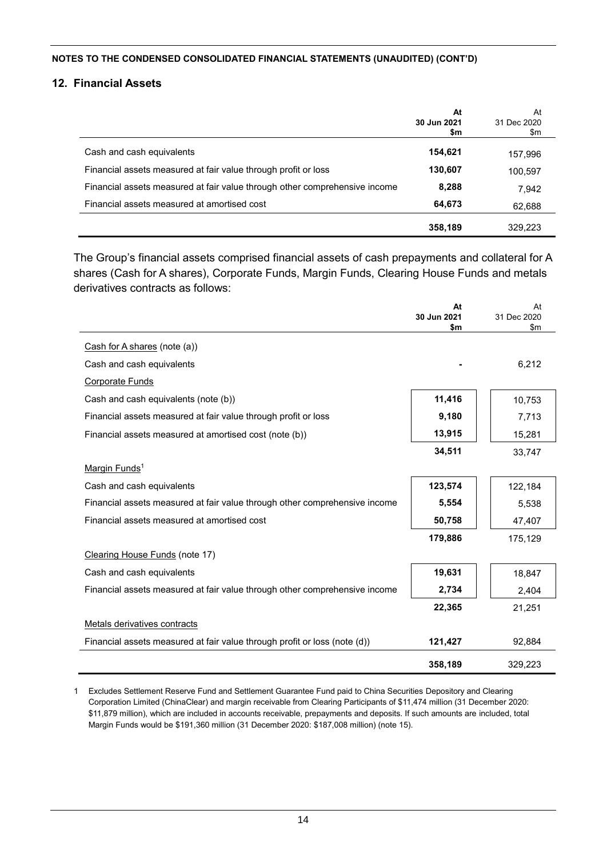#### **12. Financial Assets**

|                                                                            | At<br>30 Jun 2021<br>\$m | At<br>31 Dec 2020<br>\$m |
|----------------------------------------------------------------------------|--------------------------|--------------------------|
| Cash and cash equivalents                                                  | 154,621                  | 157,996                  |
| Financial assets measured at fair value through profit or loss             | 130,607                  | 100,597                  |
| Financial assets measured at fair value through other comprehensive income | 8,288                    | 7.942                    |
| Financial assets measured at amortised cost                                | 64,673                   | 62,688                   |
|                                                                            | 358,189                  | 329,223                  |

The Group's financial assets comprised financial assets of cash prepayments and collateral for A shares (Cash for A shares), Corporate Funds, Margin Funds, Clearing House Funds and metals derivatives contracts as follows:

|                                                                            | At<br>30 Jun 2021<br>\$m | At<br>31 Dec 2020<br>\$m |
|----------------------------------------------------------------------------|--------------------------|--------------------------|
| Cash for A shares (note (a))                                               |                          |                          |
| Cash and cash equivalents                                                  |                          | 6,212                    |
| <b>Corporate Funds</b>                                                     |                          |                          |
| Cash and cash equivalents (note (b))                                       | 11,416                   | 10,753                   |
| Financial assets measured at fair value through profit or loss             | 9,180                    | 7,713                    |
| Financial assets measured at amortised cost (note (b))                     | 13,915                   | 15,281                   |
|                                                                            | 34,511                   | 33,747                   |
| Margin Funds <sup>1</sup>                                                  |                          |                          |
| Cash and cash equivalents                                                  | 123,574                  | 122,184                  |
| Financial assets measured at fair value through other comprehensive income | 5,554                    | 5,538                    |
| Financial assets measured at amortised cost                                | 50,758                   | 47,407                   |
|                                                                            | 179,886                  | 175,129                  |
| Clearing House Funds (note 17)                                             |                          |                          |
| Cash and cash equivalents                                                  | 19,631                   | 18,847                   |
| Financial assets measured at fair value through other comprehensive income | 2,734                    | 2,404                    |
|                                                                            | 22,365                   | 21,251                   |
| Metals derivatives contracts                                               |                          |                          |
| Financial assets measured at fair value through profit or loss (note (d))  | 121,427                  | 92,884                   |
|                                                                            | 358,189                  | 329,223                  |

1 Excludes Settlement Reserve Fund and Settlement Guarantee Fund paid to China Securities Depository and Clearing Corporation Limited (ChinaClear) and margin receivable from Clearing Participants of \$11,474 million (31 December 2020: \$11,879 million), which are included in accounts receivable, prepayments and deposits. If such amounts are included, total Margin Funds would be \$191,360 million (31 December 2020: \$187,008 million) (note 15).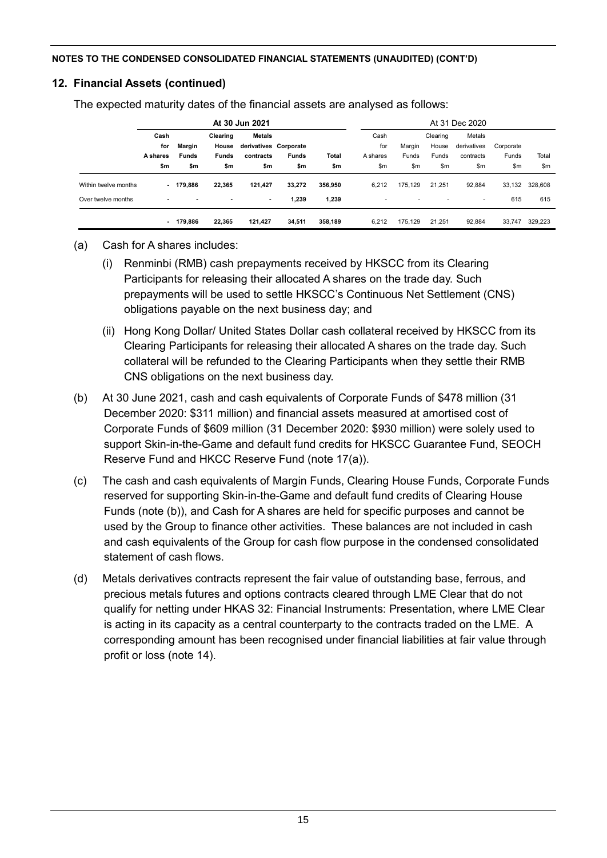## **12. Financial Assets (continued)**

The expected maturity dates of the financial assets are analysed as follows:

|                      |                                |                        |                                   | At 30 Jun 2021                                      |              |         |                         |                 |                            | At 31 Dec 2020                     |                    |         |
|----------------------|--------------------------------|------------------------|-----------------------------------|-----------------------------------------------------|--------------|---------|-------------------------|-----------------|----------------------------|------------------------------------|--------------------|---------|
|                      | Cash<br>for<br><b>A</b> shares | Margin<br><b>Funds</b> | Clearing<br>House<br><b>Funds</b> | <b>Metals</b><br>derivatives Corporate<br>contracts | <b>Funds</b> | Total   | Cash<br>for<br>A shares | Margin<br>Funds | Clearing<br>House<br>Funds | Metals<br>derivatives<br>contracts | Corporate<br>Funds | Total   |
|                      | \$m                            | \$m                    | \$m                               | \$m                                                 | \$m          | \$m     | \$m                     | \$m             | \$m\$                      | \$m                                | \$m                | \$m     |
| Within twelve months |                                | $-179.886$             | 22,365                            | 121,427                                             | 33,272       | 356,950 | 6,212                   | 175.129         | 21.251                     | 92,884                             | 33,132             | 328,608 |
| Over twelve months   | ۰                              |                        | $\blacksquare$                    | ٠                                                   | 1,239        | 1,239   | ٠                       | ۰               | ٠                          | ٠                                  | 615                | 615     |
|                      |                                | 179.886                | 22,365                            | 121,427                                             | 34,511       | 358.189 | 6.212                   | 175.129         | 21.251                     | 92.884                             | 33.747             | 329,223 |

## (a) Cash for A shares includes:

- (i) Renminbi (RMB) cash prepayments received by HKSCC from its Clearing Participants for releasing their allocated A shares on the trade day. Such prepayments will be used to settle HKSCC's Continuous Net Settlement (CNS) obligations payable on the next business day; and
- (ii) Hong Kong Dollar/ United States Dollar cash collateral received by HKSCC from its Clearing Participants for releasing their allocated A shares on the trade day. Such collateral will be refunded to the Clearing Participants when they settle their RMB CNS obligations on the next business day.
- (b) At 30 June 2021, cash and cash equivalents of Corporate Funds of \$478 million (31 December 2020: \$311 million) and financial assets measured at amortised cost of Corporate Funds of \$609 million (31 December 2020: \$930 million) were solely used to support Skin-in-the-Game and default fund credits for HKSCC Guarantee Fund, SEOCH Reserve Fund and HKCC Reserve Fund (note 17(a)).
- (c) The cash and cash equivalents of Margin Funds, Clearing House Funds, Corporate Funds reserved for supporting Skin-in-the-Game and default fund credits of Clearing House Funds (note (b)), and Cash for A shares are held for specific purposes and cannot be used by the Group to finance other activities. These balances are not included in cash and cash equivalents of the Group for cash flow purpose in the condensed consolidated statement of cash flows.
- (d) Metals derivatives contracts represent the fair value of outstanding base, ferrous, and precious metals futures and options contracts cleared through LME Clear that do not qualify for netting under HKAS 32: Financial Instruments: Presentation, where LME Clear is acting in its capacity as a central counterparty to the contracts traded on the LME. A corresponding amount has been recognised under financial liabilities at fair value through profit or loss (note 14).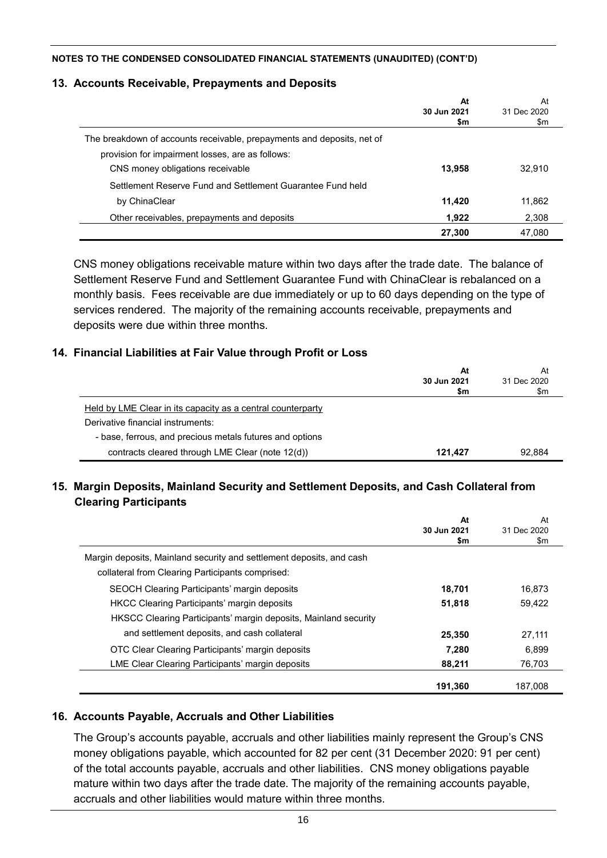### **13. Accounts Receivable, Prepayments and Deposits**

|                                                                        | At<br>30 Jun 2021<br>\$m | At<br>31 Dec 2020<br>\$m |
|------------------------------------------------------------------------|--------------------------|--------------------------|
| The breakdown of accounts receivable, prepayments and deposits, net of |                          |                          |
| provision for impairment losses, are as follows:                       |                          |                          |
| CNS money obligations receivable                                       | 13,958                   | 32,910                   |
| Settlement Reserve Fund and Settlement Guarantee Fund held             |                          |                          |
| by ChinaClear                                                          | 11,420                   | 11,862                   |
| Other receivables, prepayments and deposits                            | 1,922                    | 2,308                    |
|                                                                        | 27,300                   | 47,080                   |

CNS money obligations receivable mature within two days after the trade date. The balance of Settlement Reserve Fund and Settlement Guarantee Fund with ChinaClear is rebalanced on a monthly basis. Fees receivable are due immediately or up to 60 days depending on the type of services rendered. The majority of the remaining accounts receivable, prepayments and deposits were due within three months.

### **14. Financial Liabilities at Fair Value through Profit or Loss**

|                                                                                                  | At<br>30 Jun 2021<br>\$m | At<br>31 Dec 2020<br>\$m |
|--------------------------------------------------------------------------------------------------|--------------------------|--------------------------|
| Held by LME Clear in its capacity as a central counterparty<br>Derivative financial instruments: |                          |                          |
| - base, ferrous, and precious metals futures and options                                         |                          |                          |
| contracts cleared through LME Clear (note 12(d))                                                 | 121.427                  | 92.884                   |

## **15. Margin Deposits, Mainland Security and Settlement Deposits, and Cash Collateral from Clearing Participants**

|                                                                      | At<br>30 Jun 2021<br>\$m | At<br>31 Dec 2020<br>\$m |
|----------------------------------------------------------------------|--------------------------|--------------------------|
| Margin deposits, Mainland security and settlement deposits, and cash |                          |                          |
| collateral from Clearing Participants comprised:                     |                          |                          |
| <b>SEOCH Clearing Participants' margin deposits</b>                  | 18,701                   | 16.873                   |
| <b>HKCC Clearing Participants' margin deposits</b>                   | 51,818                   | 59,422                   |
| HKSCC Clearing Participants' margin deposits, Mainland security      |                          |                          |
| and settlement deposits, and cash collateral                         | 25,350                   | 27,111                   |
| OTC Clear Clearing Participants' margin deposits                     | 7,280                    | 6.899                    |
| LME Clear Clearing Participants' margin deposits                     | 88,211                   | 76,703                   |
|                                                                      | 191,360                  | 187.008                  |

#### **16. Accounts Payable, Accruals and Other Liabilities**

The Group's accounts payable, accruals and other liabilities mainly represent the Group's CNS money obligations payable, which accounted for 82 per cent (31 December 2020: 91 per cent) of the total accounts payable, accruals and other liabilities. CNS money obligations payable mature within two days after the trade date. The majority of the remaining accounts payable, accruals and other liabilities would mature within three months.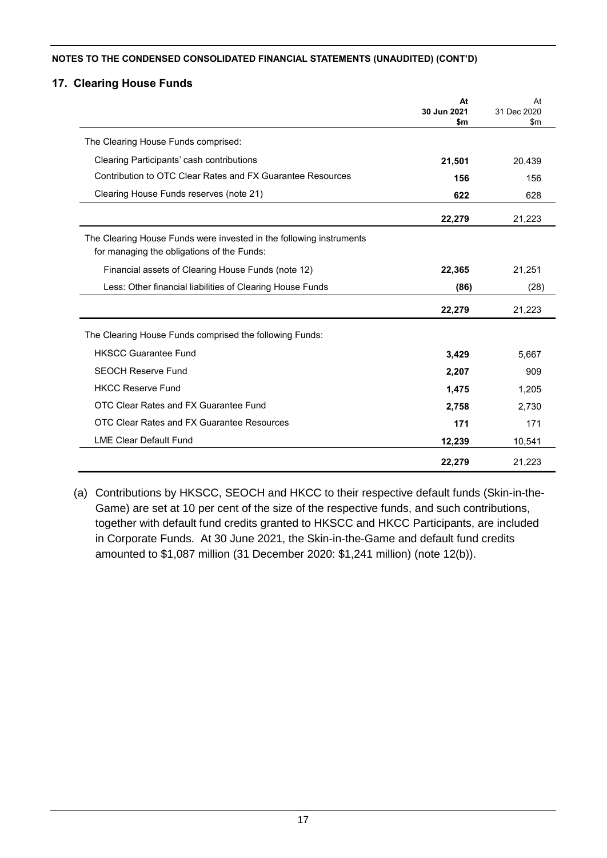### **17. Clearing House Funds**

|                                                                                                                   | At<br>30 Jun 2021 | At<br>31 Dec 2020 |
|-------------------------------------------------------------------------------------------------------------------|-------------------|-------------------|
|                                                                                                                   | \$m               | \$m               |
| The Clearing House Funds comprised:                                                                               |                   |                   |
| Clearing Participants' cash contributions                                                                         | 21,501            | 20,439            |
| Contribution to OTC Clear Rates and FX Guarantee Resources                                                        | 156               | 156               |
| Clearing House Funds reserves (note 21)                                                                           | 622               | 628               |
|                                                                                                                   | 22,279            | 21,223            |
| The Clearing House Funds were invested in the following instruments<br>for managing the obligations of the Funds: |                   |                   |
| Financial assets of Clearing House Funds (note 12)                                                                | 22,365            | 21,251            |
| Less: Other financial liabilities of Clearing House Funds                                                         | (86)              | (28)              |
|                                                                                                                   | 22,279            | 21,223            |
| The Clearing House Funds comprised the following Funds:                                                           |                   |                   |
| <b>HKSCC Guarantee Fund</b>                                                                                       | 3,429             | 5,667             |
| <b>SEOCH Reserve Fund</b>                                                                                         | 2,207             | 909               |
| <b>HKCC Reserve Fund</b>                                                                                          | 1,475             | 1,205             |
| OTC Clear Rates and FX Guarantee Fund                                                                             | 2,758             | 2.730             |
| OTC Clear Rates and FX Guarantee Resources                                                                        | 171               | 171               |
| <b>LME Clear Default Fund</b>                                                                                     | 12,239            | 10,541            |
|                                                                                                                   | 22,279            | 21,223            |

(a) Contributions by HKSCC, SEOCH and HKCC to their respective default funds (Skin-in-the-Game) are set at 10 per cent of the size of the respective funds, and such contributions, together with default fund credits granted to HKSCC and HKCC Participants, are included in Corporate Funds. At 30 June 2021, the Skin-in-the-Game and default fund credits amounted to \$1,087 million (31 December 2020: \$1,241 million) (note 12(b)).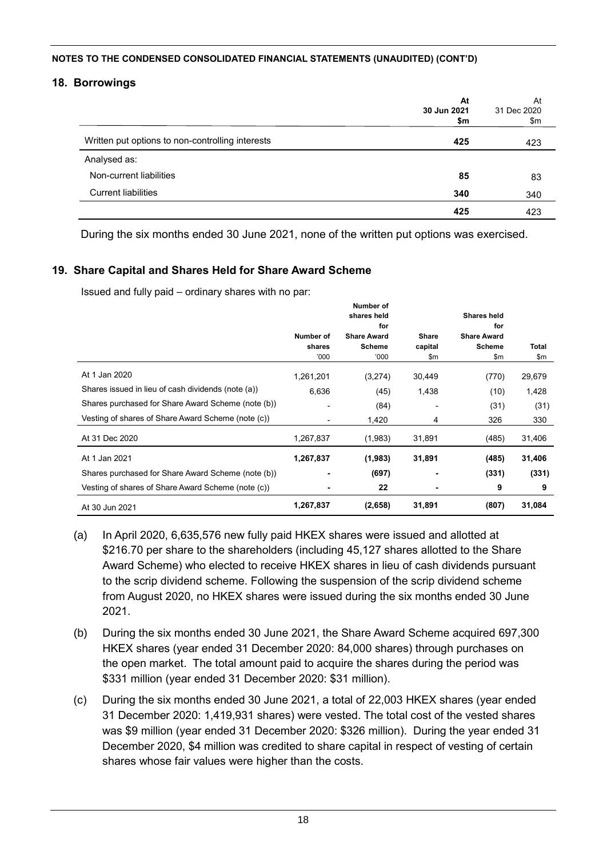### **18. Borrowings**

|                                                  | At<br>30 Jun 2021<br>\$m | At<br>31 Dec 2020<br>\$m |
|--------------------------------------------------|--------------------------|--------------------------|
| Written put options to non-controlling interests | 425                      | 423                      |
| Analysed as:                                     |                          |                          |
| Non-current liabilities                          | 85                       | 83                       |
| <b>Current liabilities</b>                       | 340                      | 340                      |
|                                                  | 425                      | 423                      |

During the six months ended 30 June 2021, none of the written put options was exercised.

## **19. Share Capital and Shares Held for Share Award Scheme**

Issued and fully paid – ordinary shares with no par:

|                                                    | Number of<br>shares<br>'000' | Number of<br>shares held<br>for<br><b>Share Award</b><br><b>Scheme</b><br>000' | <b>Share</b><br>capital<br>\$m | <b>Shares held</b><br>for<br><b>Share Award</b><br><b>Scheme</b><br>\$m | <b>Total</b><br>\$m |
|----------------------------------------------------|------------------------------|--------------------------------------------------------------------------------|--------------------------------|-------------------------------------------------------------------------|---------------------|
| At 1 Jan 2020                                      | 1,261,201                    | (3,274)                                                                        | 30,449                         | (770)                                                                   | 29,679              |
| Shares issued in lieu of cash dividends (note (a)) | 6,636                        | (45)                                                                           | 1,438                          | (10)                                                                    | 1,428               |
| Shares purchased for Share Award Scheme (note (b)) | $\blacksquare$               | (84)                                                                           |                                | (31)                                                                    | (31)                |
| Vesting of shares of Share Award Scheme (note (c)) |                              | 1,420                                                                          | 4                              | 326                                                                     | 330                 |
| At 31 Dec 2020                                     | 1,267,837                    | (1,983)                                                                        | 31,891                         | (485)                                                                   | 31,406              |
| At 1 Jan 2021                                      | 1,267,837                    | (1,983)                                                                        | 31,891                         | (485)                                                                   | 31,406              |
| Shares purchased for Share Award Scheme (note (b)) |                              | (697)                                                                          |                                | (331)                                                                   | (331)               |
| Vesting of shares of Share Award Scheme (note (c)) | ۰                            | 22                                                                             | ٠                              | 9                                                                       | 9                   |
| At 30 Jun 2021                                     | 1,267,837                    | (2,658)                                                                        | 31,891                         | (807)                                                                   | 31,084              |

- (a) In April 2020, 6,635,576 new fully paid HKEX shares were issued and allotted at \$216.70 per share to the shareholders (including 45,127 shares allotted to the Share Award Scheme) who elected to receive HKEX shares in lieu of cash dividends pursuant to the scrip dividend scheme. Following the suspension of the scrip dividend scheme from August 2020, no HKEX shares were issued during the six months ended 30 June 2021.
- (b) During the six months ended 30 June 2021, the Share Award Scheme acquired 697,300 HKEX shares (year ended 31 December 2020: 84,000 shares) through purchases on the open market. The total amount paid to acquire the shares during the period was \$331 million (year ended 31 December 2020: \$31 million).
- (c) During the six months ended 30 June 2021, a total of 22,003 HKEX shares (year ended 31 December 2020: 1,419,931 shares) were vested. The total cost of the vested shares was \$9 million (year ended 31 December 2020: \$326 million). During the year ended 31 December 2020, \$4 million was credited to share capital in respect of vesting of certain shares whose fair values were higher than the costs.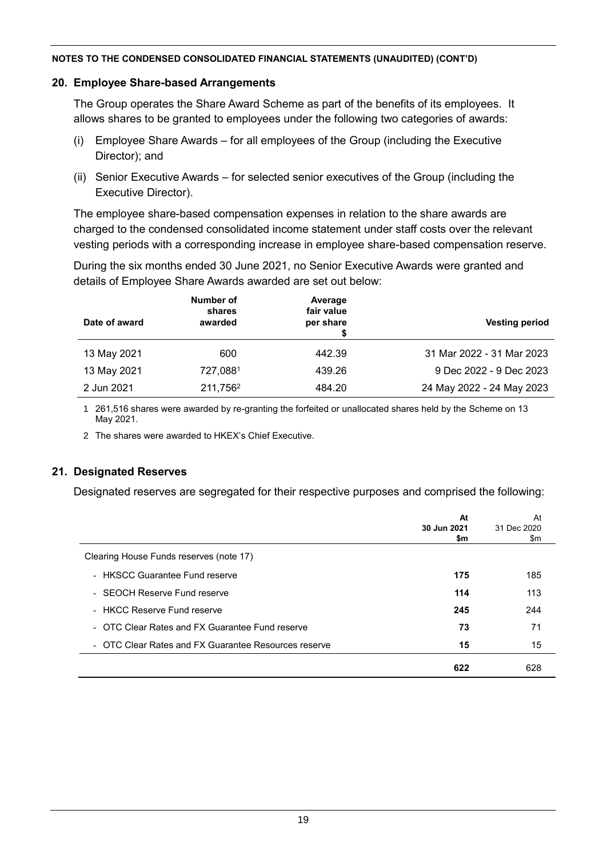#### **20. Employee Share-based Arrangements**

The Group operates the Share Award Scheme as part of the benefits of its employees. It allows shares to be granted to employees under the following two categories of awards:

- (i) Employee Share Awards for all employees of the Group (including the Executive Director); and
- (ii) Senior Executive Awards for selected senior executives of the Group (including the Executive Director).

The employee share-based compensation expenses in relation to the share awards are charged to the condensed consolidated income statement under staff costs over the relevant vesting periods with a corresponding increase in employee share-based compensation reserve.

During the six months ended 30 June 2021, no Senior Executive Awards were granted and details of Employee Share Awards awarded are set out below:

| Date of award | Number of<br>shares<br>awarded | Average<br>fair value<br>per share | <b>Vesting period</b>     |
|---------------|--------------------------------|------------------------------------|---------------------------|
| 13 May 2021   | 600                            | 442.39                             | 31 Mar 2022 - 31 Mar 2023 |
| 13 May 2021   | 727,0881                       | 439.26                             | 9 Dec 2022 - 9 Dec 2023   |
| 2 Jun 2021    | 211,756 <sup>2</sup>           | 484.20                             | 24 May 2022 - 24 May 2023 |

1 261,516 shares were awarded by re-granting the forfeited or unallocated shares held by the Scheme on 13 May 2021.

2 The shares were awarded to HKEX's Chief Executive.

## **21. Designated Reserves**

Designated reserves are segregated for their respective purposes and comprised the following:

|                                                      | At<br>30 Jun 2021<br>\$m | At<br>31 Dec 2020<br>\$m |
|------------------------------------------------------|--------------------------|--------------------------|
| Clearing House Funds reserves (note 17)              |                          |                          |
| - HKSCC Guarantee Fund reserve                       | 175                      | 185                      |
| - SEOCH Reserve Fund reserve                         | 114                      | 113                      |
| - HKCC Reserve Fund reserve                          | 245                      | 244                      |
| - OTC Clear Rates and FX Guarantee Fund reserve      | 73                       | 71                       |
| - OTC Clear Rates and FX Guarantee Resources reserve | 15                       | 15                       |
|                                                      | 622                      | 628                      |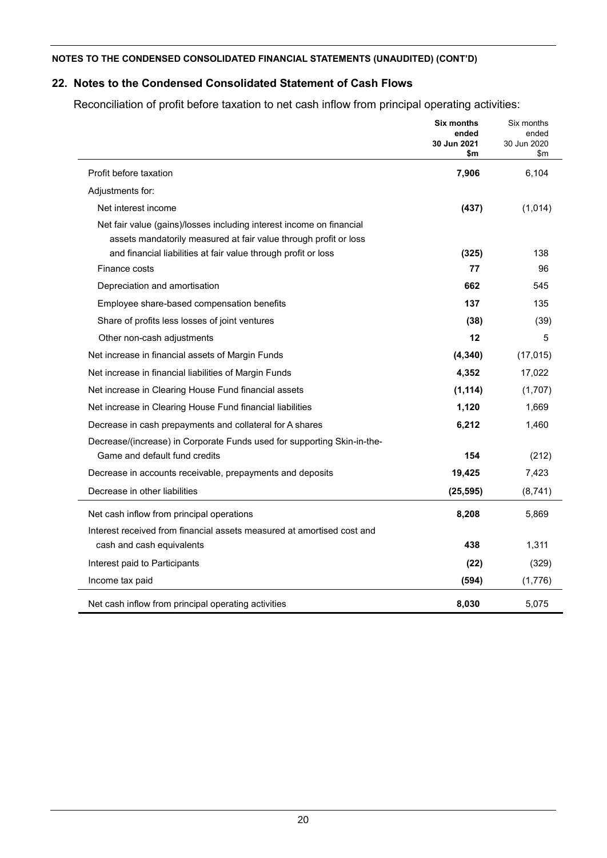## **22. Notes to the Condensed Consolidated Statement of Cash Flows**

Reconciliation of profit before taxation to net cash inflow from principal operating activities:

|                                                                         | <b>Six months</b><br>ended<br>30 Jun 2021<br>\$m | Six months<br>ended<br>30 Jun 2020<br>\$m |
|-------------------------------------------------------------------------|--------------------------------------------------|-------------------------------------------|
| Profit before taxation                                                  | 7,906                                            | 6,104                                     |
| Adjustments for:                                                        |                                                  |                                           |
| Net interest income                                                     | (437)                                            | (1,014)                                   |
| Net fair value (gains)/losses including interest income on financial    |                                                  |                                           |
| assets mandatorily measured at fair value through profit or loss        |                                                  |                                           |
| and financial liabilities at fair value through profit or loss          | (325)                                            | 138                                       |
| Finance costs                                                           | 77                                               | 96                                        |
| Depreciation and amortisation                                           | 662                                              | 545                                       |
| Employee share-based compensation benefits                              | 137                                              | 135                                       |
| Share of profits less losses of joint ventures                          | (38)                                             | (39)                                      |
| Other non-cash adjustments                                              | $12 \,$                                          | 5                                         |
| Net increase in financial assets of Margin Funds                        | (4, 340)                                         | (17, 015)                                 |
| Net increase in financial liabilities of Margin Funds                   | 4,352                                            | 17,022                                    |
| Net increase in Clearing House Fund financial assets                    | (1, 114)                                         | (1,707)                                   |
| Net increase in Clearing House Fund financial liabilities               | 1,120                                            | 1,669                                     |
| Decrease in cash prepayments and collateral for A shares                | 6,212                                            | 1,460                                     |
| Decrease/(increase) in Corporate Funds used for supporting Skin-in-the- |                                                  |                                           |
| Game and default fund credits                                           | 154                                              | (212)                                     |
| Decrease in accounts receivable, prepayments and deposits               | 19,425                                           | 7,423                                     |
| Decrease in other liabilities                                           | (25, 595)                                        | (8,741)                                   |
| Net cash inflow from principal operations                               | 8,208                                            | 5,869                                     |
| Interest received from financial assets measured at amortised cost and  |                                                  |                                           |
| cash and cash equivalents                                               | 438                                              | 1,311                                     |
| Interest paid to Participants                                           | (22)                                             | (329)                                     |
| Income tax paid                                                         | (594)                                            | (1,776)                                   |
| Net cash inflow from principal operating activities                     | 8,030                                            | 5,075                                     |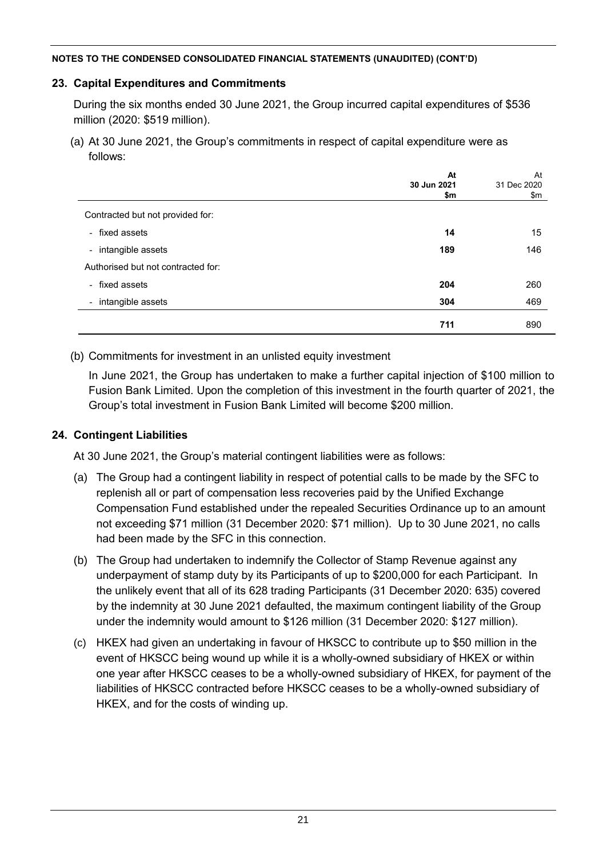## **23. Capital Expenditures and Commitments**

During the six months ended 30 June 2021, the Group incurred capital expenditures of \$536 million (2020: \$519 million).

(a) At 30 June 2021, the Group's commitments in respect of capital expenditure were as follows:

|                                    | At<br>30 Jun 2021<br>\$m | At<br>31 Dec 2020<br>\$m |
|------------------------------------|--------------------------|--------------------------|
| Contracted but not provided for:   |                          |                          |
| - fixed assets                     | 14                       | 15                       |
| - intangible assets                | 189                      | 146                      |
| Authorised but not contracted for: |                          |                          |
| - fixed assets                     | 204                      | 260                      |
| - intangible assets                | 304                      | 469                      |
|                                    | 711                      | 890                      |

## (b) Commitments for investment in an unlisted equity investment

In June 2021, the Group has undertaken to make a further capital injection of \$100 million to Fusion Bank Limited. Upon the completion of this investment in the fourth quarter of 2021, the Group's total investment in Fusion Bank Limited will become \$200 million.

## **24. Contingent Liabilities**

At 30 June 2021, the Group's material contingent liabilities were as follows:

- (a) The Group had a contingent liability in respect of potential calls to be made by the SFC to replenish all or part of compensation less recoveries paid by the Unified Exchange Compensation Fund established under the repealed Securities Ordinance up to an amount not exceeding \$71 million (31 December 2020: \$71 million). Up to 30 June 2021, no calls had been made by the SFC in this connection.
- (b) The Group had undertaken to indemnify the Collector of Stamp Revenue against any underpayment of stamp duty by its Participants of up to \$200,000 for each Participant. In the unlikely event that all of its 628 trading Participants (31 December 2020: 635) covered by the indemnity at 30 June 2021 defaulted, the maximum contingent liability of the Group under the indemnity would amount to \$126 million (31 December 2020: \$127 million).
- (c) HKEX had given an undertaking in favour of HKSCC to contribute up to \$50 million in the event of HKSCC being wound up while it is a wholly-owned subsidiary of HKEX or within one year after HKSCC ceases to be a wholly-owned subsidiary of HKEX, for payment of the liabilities of HKSCC contracted before HKSCC ceases to be a wholly-owned subsidiary of HKEX, and for the costs of winding up.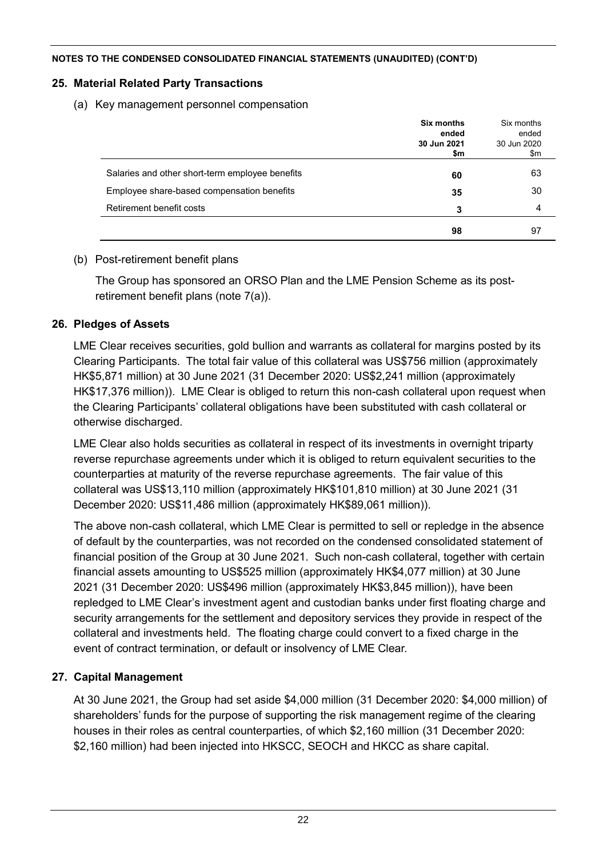## **25. Material Related Party Transactions**

(a) Key management personnel compensation

|                                                 | Six months<br>ended<br>30 Jun 2021<br>\$m | Six months<br>ended<br>30 Jun 2020<br>\$m |
|-------------------------------------------------|-------------------------------------------|-------------------------------------------|
| Salaries and other short-term employee benefits | 60                                        | 63                                        |
| Employee share-based compensation benefits      | 35                                        | 30                                        |
| Retirement benefit costs                        | 3                                         | 4                                         |
|                                                 | 98                                        | 97                                        |

## (b) Post-retirement benefit plans

The Group has sponsored an ORSO Plan and the LME Pension Scheme as its postretirement benefit plans (note 7(a)).

## **26. Pledges of Assets**

LME Clear receives securities, gold bullion and warrants as collateral for margins posted by its Clearing Participants. The total fair value of this collateral was US\$756 million (approximately HK\$5,871 million) at 30 June 2021 (31 December 2020: US\$2,241 million (approximately HK\$17,376 million)). LME Clear is obliged to return this non-cash collateral upon request when the Clearing Participants' collateral obligations have been substituted with cash collateral or otherwise discharged.

LME Clear also holds securities as collateral in respect of its investments in overnight triparty reverse repurchase agreements under which it is obliged to return equivalent securities to the counterparties at maturity of the reverse repurchase agreements. The fair value of this collateral was US\$13,110 million (approximately HK\$101,810 million) at 30 June 2021 (31 December 2020: US\$11,486 million (approximately HK\$89,061 million)).

The above non-cash collateral, which LME Clear is permitted to sell or repledge in the absence of default by the counterparties, was not recorded on the condensed consolidated statement of financial position of the Group at 30 June 2021. Such non-cash collateral, together with certain financial assets amounting to US\$525 million (approximately HK\$4,077 million) at 30 June 2021 (31 December 2020: US\$496 million (approximately HK\$3,845 million)), have been repledged to LME Clear's investment agent and custodian banks under first floating charge and security arrangements for the settlement and depository services they provide in respect of the collateral and investments held. The floating charge could convert to a fixed charge in the event of contract termination, or default or insolvency of LME Clear.

## **27. Capital Management**

At 30 June 2021, the Group had set aside \$4,000 million (31 December 2020: \$4,000 million) of shareholders' funds for the purpose of supporting the risk management regime of the clearing houses in their roles as central counterparties, of which \$2,160 million (31 December 2020: \$2,160 million) had been injected into HKSCC, SEOCH and HKCC as share capital.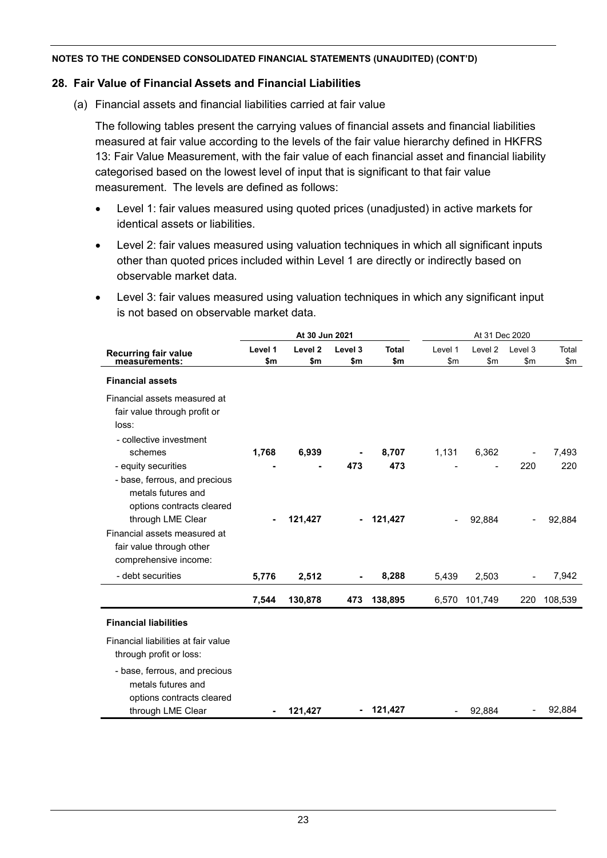### **28. Fair Value of Financial Assets and Financial Liabilities**

(a) Financial assets and financial liabilities carried at fair value

The following tables present the carrying values of financial assets and financial liabilities measured at fair value according to the levels of the fair value hierarchy defined in HKFRS 13: Fair Value Measurement, with the fair value of each financial asset and financial liability categorised based on the lowest level of input that is significant to that fair value measurement. The levels are defined as follows:

- Level 1: fair values measured using quoted prices (unadjusted) in active markets for identical assets or liabilities.
- Level 2: fair values measured using valuation techniques in which all significant inputs other than quoted prices included within Level 1 are directly or indirectly based on observable market data.
- Level 3: fair values measured using valuation techniques in which any significant input is not based on observable market data.

|                                     | At 30 Jun 2021<br>At 31 Dec 2020 |                    |                          |              |                |                    |                |         |
|-------------------------------------|----------------------------------|--------------------|--------------------------|--------------|----------------|--------------------|----------------|---------|
| <b>Recurring fair value</b>         | Level 1                          | Level <sub>2</sub> | Level 3                  | <b>Total</b> | Level 1        | Level <sub>2</sub> | Level 3        | Total   |
| measurements:                       | \$m                              | \$m                | \$m                      | \$m          | \$m            | \$m                | \$m            | \$m\$   |
| <b>Financial assets</b>             |                                  |                    |                          |              |                |                    |                |         |
| Financial assets measured at        |                                  |                    |                          |              |                |                    |                |         |
| fair value through profit or        |                                  |                    |                          |              |                |                    |                |         |
| loss:                               |                                  |                    |                          |              |                |                    |                |         |
| - collective investment             |                                  |                    |                          |              |                |                    |                |         |
| schemes                             | 1,768                            | 6,939              |                          | 8,707        | 1,131          | 6,362              |                | 7,493   |
| - equity securities                 |                                  |                    | 473                      | 473          |                |                    | 220            | 220     |
| - base, ferrous, and precious       |                                  |                    |                          |              |                |                    |                |         |
| metals futures and                  |                                  |                    |                          |              |                |                    |                |         |
| options contracts cleared           |                                  |                    |                          |              |                |                    |                |         |
| through LME Clear                   | ۰                                | 121,427            | $\overline{\phantom{0}}$ | 121,427      | $\blacksquare$ | 92,884             | $\overline{a}$ | 92,884  |
| Financial assets measured at        |                                  |                    |                          |              |                |                    |                |         |
| fair value through other            |                                  |                    |                          |              |                |                    |                |         |
| comprehensive income:               |                                  |                    |                          |              |                |                    |                |         |
| - debt securities                   | 5,776                            | 2,512              | $\blacksquare$           | 8,288        | 5,439          | 2,503              | $\overline{a}$ | 7,942   |
|                                     | 7,544                            | 130,878            | 473                      | 138,895      | 6,570          | 101,749            | 220            | 108,539 |
| <b>Financial liabilities</b>        |                                  |                    |                          |              |                |                    |                |         |
| Financial liabilities at fair value |                                  |                    |                          |              |                |                    |                |         |
| through profit or loss:             |                                  |                    |                          |              |                |                    |                |         |
| - base, ferrous, and precious       |                                  |                    |                          |              |                |                    |                |         |
| metals futures and                  |                                  |                    |                          |              |                |                    |                |         |
| options contracts cleared           |                                  |                    |                          |              |                |                    |                |         |
| through LME Clear                   |                                  | 121,427            | $\overline{\phantom{a}}$ | 121,427      |                | 92,884             |                | 92,884  |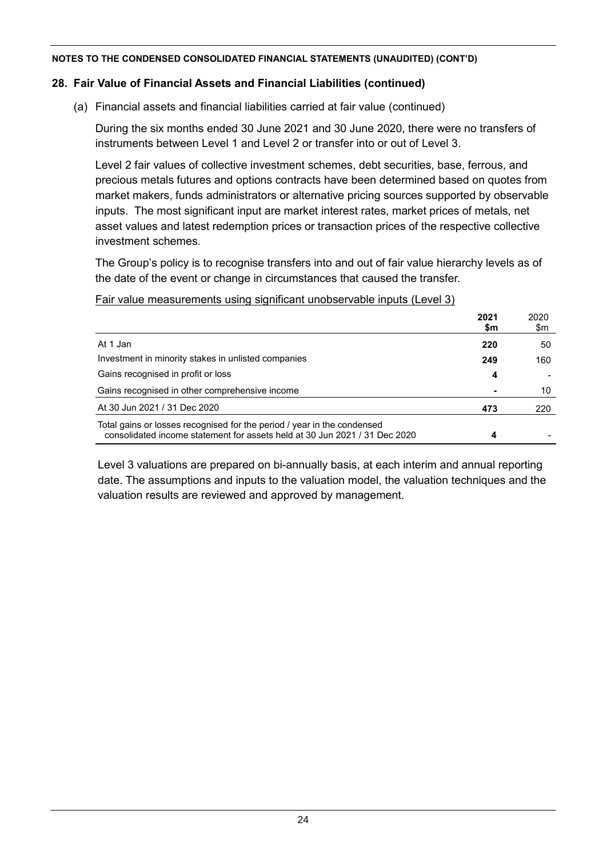### **28. Fair Value of Financial Assets and Financial Liabilities (continued)**

(a) Financial assets and financial liabilities carried at fair value (continued)

During the six months ended 30 June 2021 and 30 June 2020, there were no transfers of instruments between Level 1 and Level 2 or transfer into or out of Level 3.

Level 2 fair values of collective investment schemes, debt securities, base, ferrous, and precious metals futures and options contracts have been determined based on quotes from market makers, funds administrators or alternative pricing sources supported by observable inputs. The most significant input are market interest rates, market prices of metals, net asset values and latest redemption prices or transaction prices of the respective collective investment schemes.

The Group's policy is to recognise transfers into and out of fair value hierarchy levels as of the date of the event or change in circumstances that caused the transfer.

#### Fair value measurements using significant unobservable inputs (Level 3)

|                                                                                                                                                       | 2021<br>\$m | 2020<br>\$m |
|-------------------------------------------------------------------------------------------------------------------------------------------------------|-------------|-------------|
| At 1 Jan                                                                                                                                              | 220         | 50          |
| Investment in minority stakes in unlisted companies                                                                                                   | 249         | 160         |
| Gains recognised in profit or loss                                                                                                                    | 4           |             |
| Gains recognised in other comprehensive income                                                                                                        |             | 10          |
| At 30 Jun 2021 / 31 Dec 2020                                                                                                                          | 473         | 220         |
| Total gains or losses recognised for the period / year in the condensed<br>consolidated income statement for assets held at 30 Jun 2021 / 31 Dec 2020 | 4           |             |

Level 3 valuations are prepared on bi-annually basis, at each interim and annual reporting date. The assumptions and inputs to the valuation model, the valuation techniques and the valuation results are reviewed and approved by management.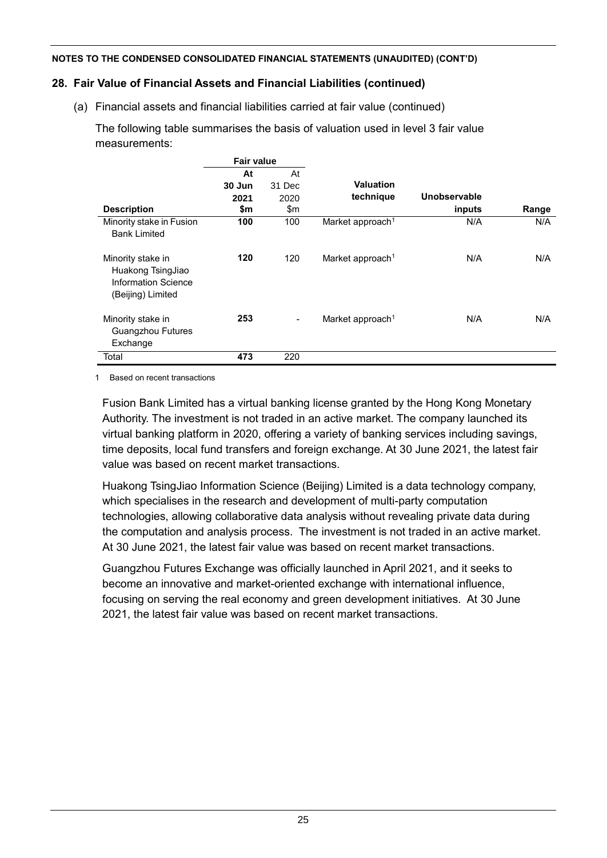## **28. Fair Value of Financial Assets and Financial Liabilities (continued)**

(a) Financial assets and financial liabilities carried at fair value (continued)

The following table summarises the basis of valuation used in level 3 fair value measurements:

|                                                                                           | <b>Fair value</b> |                          |                              |              |       |
|-------------------------------------------------------------------------------------------|-------------------|--------------------------|------------------------------|--------------|-------|
|                                                                                           | At                | At                       |                              |              |       |
|                                                                                           | 30 Jun            | 31 Dec                   | Valuation                    |              |       |
|                                                                                           | 2021              | 2020                     | technique                    | Unobservable |       |
| <b>Description</b>                                                                        | \$m               | $\mathsf{m}$             |                              | inputs       | Range |
| Minority stake in Fusion                                                                  | 100               | 100                      | Market approach <sup>1</sup> | N/A          | N/A   |
| <b>Bank Limited</b>                                                                       |                   |                          |                              |              |       |
| Minority stake in<br>Huakong TsingJiao<br><b>Information Science</b><br>(Beijing) Limited | 120               | 120                      | Market approach <sup>1</sup> | N/A          | N/A   |
| Minority stake in<br><b>Guangzhou Futures</b><br>Exchange                                 | 253               | $\overline{\phantom{a}}$ | Market approach <sup>1</sup> | N/A          | N/A   |
| Total                                                                                     | 473               | 220                      |                              |              |       |

1 Based on recent transactions

Fusion Bank Limited has a virtual banking license granted by the Hong Kong Monetary Authority. The investment is not traded in an active market. The company launched its virtual banking platform in 2020, offering a variety of banking services including savings, time deposits, local fund transfers and foreign exchange. At 30 June 2021, the latest fair value was based on recent market transactions.

Huakong TsingJiao Information Science (Beijing) Limited is a data technology company, which specialises in the research and development of multi-party computation technologies, allowing collaborative data analysis without revealing private data during the computation and analysis process. The investment is not traded in an active market. At 30 June 2021, the latest fair value was based on recent market transactions.

Guangzhou Futures Exchange was officially launched in April 2021, and it seeks to become an innovative and market-oriented exchange with international influence, focusing on serving the real economy and green development initiatives. At 30 June 2021, the latest fair value was based on recent market transactions.